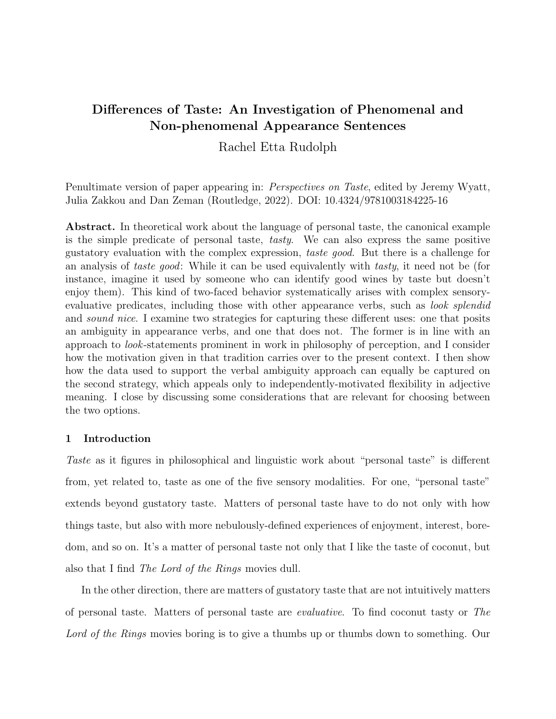# Differences of Taste: An Investigation of Phenomenal and Non-phenomenal Appearance Sentences

Rachel Etta Rudolph

Penultimate version of paper appearing in: Perspectives on Taste, edited by Jeremy Wyatt, Julia Zakkou and Dan Zeman (Routledge, 2022). DOI: [10.4324/9781003184225-16](https://doi.org/10.4324/9781003184225-16)

Abstract. In theoretical work about the language of personal taste, the canonical example is the simple predicate of personal taste, tasty. We can also express the same positive gustatory evaluation with the complex expression, taste good. But there is a challenge for an analysis of taste good: While it can be used equivalently with tasty, it need not be (for instance, imagine it used by someone who can identify good wines by taste but doesn't enjoy them). This kind of two-faced behavior systematically arises with complex sensoryevaluative predicates, including those with other appearance verbs, such as *look splendid* and *sound nice*. I examine two strategies for capturing these different uses: one that posits an ambiguity in appearance verbs, and one that does not. The former is in line with an approach to look-statements prominent in work in philosophy of perception, and I consider how the motivation given in that tradition carries over to the present context. I then show how the data used to support the verbal ambiguity approach can equally be captured on the second strategy, which appeals only to independently-motivated flexibility in adjective meaning. I close by discussing some considerations that are relevant for choosing between the two options.

## 1 Introduction

Taste as it figures in philosophical and linguistic work about "personal taste" is different from, yet related to, taste as one of the five sensory modalities. For one, "personal taste" extends beyond gustatory taste. Matters of personal taste have to do not only with how things taste, but also with more nebulously-defined experiences of enjoyment, interest, boredom, and so on. It's a matter of personal taste not only that I like the taste of coconut, but also that I find The Lord of the Rings movies dull.

In the other direction, there are matters of gustatory taste that are not intuitively matters of personal taste. Matters of personal taste are evaluative. To find coconut tasty or The Lord of the Rings movies boring is to give a thumbs up or thumbs down to something. Our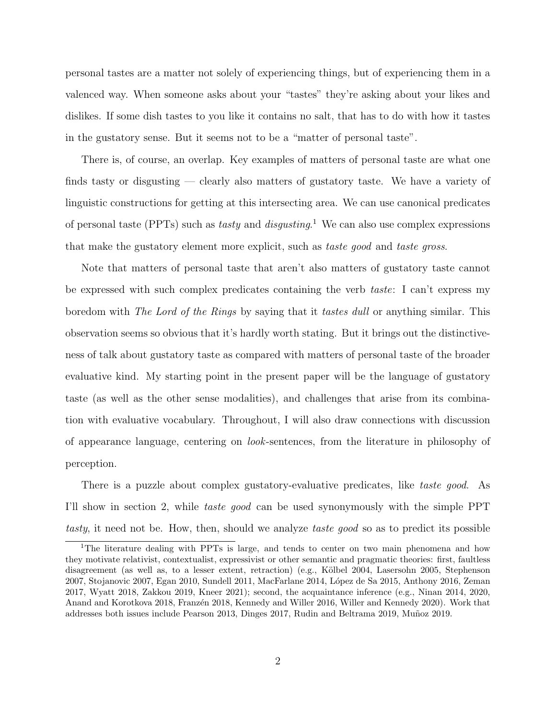personal tastes are a matter not solely of experiencing things, but of experiencing them in a valenced way. When someone asks about your "tastes" they're asking about your likes and dislikes. If some dish tastes to you like it contains no salt, that has to do with how it tastes in the gustatory sense. But it seems not to be a "matter of personal taste".

There is, of course, an overlap. Key examples of matters of personal taste are what one finds tasty or disgusting — clearly also matters of gustatory taste. We have a variety of linguistic constructions for getting at this intersecting area. We can use canonical predicates of personal taste (PPTs) such as *tasty* and *disgusting*.<sup>[1](#page-1-0)</sup> We can also use complex expressions that make the gustatory element more explicit, such as taste good and taste gross.

Note that matters of personal taste that aren't also matters of gustatory taste cannot be expressed with such complex predicates containing the verb taste: I can't express my boredom with The Lord of the Rings by saying that it tastes dull or anything similar. This observation seems so obvious that it's hardly worth stating. But it brings out the distinctiveness of talk about gustatory taste as compared with matters of personal taste of the broader evaluative kind. My starting point in the present paper will be the language of gustatory taste (as well as the other sense modalities), and challenges that arise from its combination with evaluative vocabulary. Throughout, I will also draw connections with discussion of appearance language, centering on look-sentences, from the literature in philosophy of perception.

There is a puzzle about complex gustatory-evaluative predicates, like taste good. As I'll show in section [2,](#page-3-0) while taste good can be used synonymously with the simple PPT tasty, it need not be. How, then, should we analyze taste good so as to predict its possible

<span id="page-1-0"></span><sup>&</sup>lt;sup>1</sup>The literature dealing with PPTs is large, and tends to center on two main phenomena and how they motivate relativist, contextualist, expressivist or other semantic and pragmatic theories: first, faultless disagreement (as well as, to a lesser extent, retraction) (e.g., Kölbel [2004,](#page-30-0) [Lasersohn](#page-30-1) [2005,](#page-30-1) [Stephenson](#page-31-0) [2007,](#page-31-0) [Stojanovic](#page-31-1) [2007,](#page-31-1) [Egan](#page-29-0) [2010,](#page-29-0) [Sundell](#page-32-0) [2011,](#page-32-0) [MacFarlane](#page-30-2) [2014,](#page-30-2) [L´opez de Sa](#page-30-3) [2015,](#page-30-3) [Anthony](#page-29-1) [2016,](#page-29-1) [Zeman](#page-32-1) [2017,](#page-32-1) [Wyatt](#page-32-2) [2018,](#page-32-2) [Zakkou](#page-32-3) [2019,](#page-32-3) [Kneer](#page-30-4) [2021\)](#page-30-4); second, the acquaintance inference (e.g., [Ninan](#page-31-2) [2014,](#page-31-2) [2020,](#page-31-3) [Anand and Korotkova](#page-29-2) [2018,](#page-29-3) Franzén 2018, [Kennedy and Willer](#page-30-5) [2016,](#page-30-5) [Willer and Kennedy](#page-32-4) [2020\)](#page-32-4). Work that addresses both issues include [Pearson](#page-31-4) [2013,](#page-31-4) [Dinges](#page-29-4) [2017,](#page-29-4) [Rudin and Beltrama](#page-31-5) [2019,](#page-31-5) Muñoz [2019.](#page-31-6)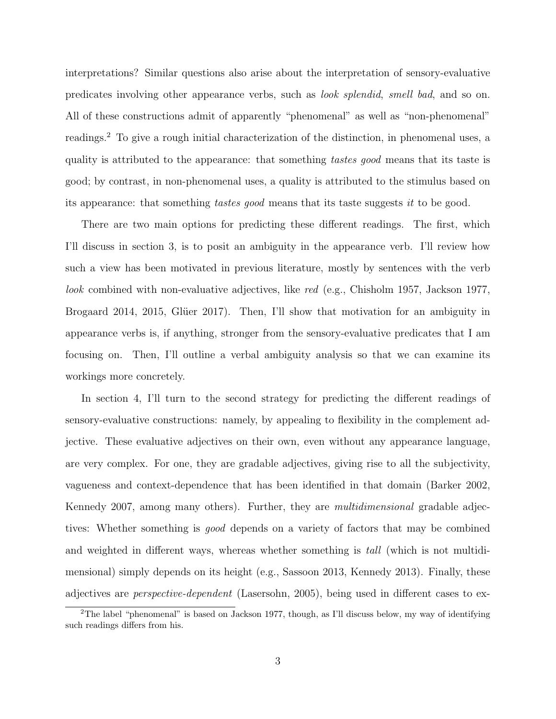interpretations? Similar questions also arise about the interpretation of sensory-evaluative predicates involving other appearance verbs, such as look splendid, smell bad, and so on. All of these constructions admit of apparently "phenomenal" as well as "non-phenomenal" readings.[2](#page-2-0) To give a rough initial characterization of the distinction, in phenomenal uses, a quality is attributed to the appearance: that something tastes good means that its taste is good; by contrast, in non-phenomenal uses, a quality is attributed to the stimulus based on its appearance: that something tastes good means that its taste suggests it to be good.

There are two main options for predicting these different readings. The first, which I'll discuss in section [3,](#page-6-0) is to posit an ambiguity in the appearance verb. I'll review how such a view has been motivated in previous literature, mostly by sentences with the verb look combined with non-evaluative adjectives, like red (e.g., [Chisholm](#page-29-5) [1957,](#page-29-5) [Jackson](#page-29-6) [1977,](#page-29-6) [Brogaard](#page-29-7) [2014,](#page-29-7) [2015,](#page-29-8) Glüer [2017\)](#page-29-9). Then, I'll show that motivation for an ambiguity in appearance verbs is, if anything, stronger from the sensory-evaluative predicates that I am focusing on. Then, I'll outline a verbal ambiguity analysis so that we can examine its workings more concretely.

In section [4,](#page-17-0) I'll turn to the second strategy for predicting the different readings of sensory-evaluative constructions: namely, by appealing to flexibility in the complement adjective. These evaluative adjectives on their own, even without any appearance language, are very complex. For one, they are gradable adjectives, giving rise to all the subjectivity, vagueness and context-dependence that has been identified in that domain [\(Barker](#page-29-10) [2002,](#page-29-10) [Kennedy](#page-30-6) [2007,](#page-30-6) among many others). Further, they are multidimensional gradable adjectives: Whether something is good depends on a variety of factors that may be combined and weighted in different ways, whereas whether something is tall (which is not multidimensional) simply depends on its height (e.g., [Sassoon](#page-31-7) [2013,](#page-31-7) [Kennedy](#page-30-7) [2013\)](#page-30-7). Finally, these adjectives are perspective-dependent [\(Lasersohn,](#page-30-1) [2005\)](#page-30-1), being used in different cases to ex-

<span id="page-2-0"></span><sup>&</sup>lt;sup>2</sup>The label "phenomenal" is based on [Jackson](#page-29-6) [1977,](#page-29-6) though, as I'll discuss below, my way of identifying such readings differs from his.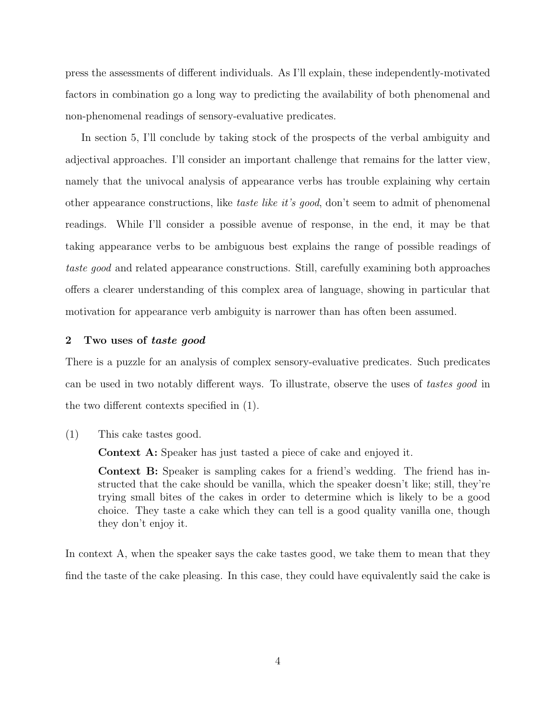press the assessments of different individuals. As I'll explain, these independently-motivated factors in combination go a long way to predicting the availability of both phenomenal and non-phenomenal readings of sensory-evaluative predicates.

In section [5,](#page-27-0) I'll conclude by taking stock of the prospects of the verbal ambiguity and adjectival approaches. I'll consider an important challenge that remains for the latter view, namely that the univocal analysis of appearance verbs has trouble explaining why certain other appearance constructions, like taste like it's good, don't seem to admit of phenomenal readings. While I'll consider a possible avenue of response, in the end, it may be that taking appearance verbs to be ambiguous best explains the range of possible readings of taste good and related appearance constructions. Still, carefully examining both approaches offers a clearer understanding of this complex area of language, showing in particular that motivation for appearance verb ambiguity is narrower than has often been assumed.

#### <span id="page-3-0"></span>2 Two uses of taste good

There is a puzzle for an analysis of complex sensory-evaluative predicates. Such predicates can be used in two notably different ways. To illustrate, observe the uses of tastes good in the two different contexts specified in (1).

(1) This cake tastes good.

Context A: Speaker has just tasted a piece of cake and enjoyed it.

Context B: Speaker is sampling cakes for a friend's wedding. The friend has instructed that the cake should be vanilla, which the speaker doesn't like; still, they're trying small bites of the cakes in order to determine which is likely to be a good choice. They taste a cake which they can tell is a good quality vanilla one, though they don't enjoy it.

In context A, when the speaker says the cake tastes good, we take them to mean that they find the taste of the cake pleasing. In this case, they could have equivalently said the cake is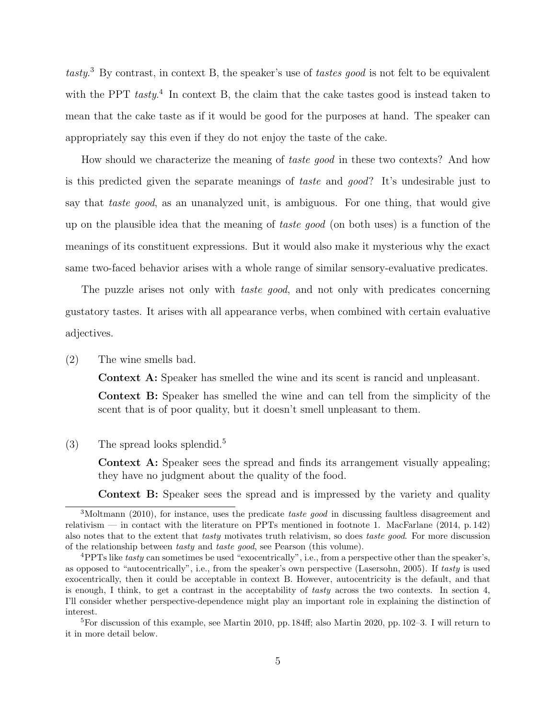tasty.<sup>[3](#page-4-0)</sup> By contrast, in context B, the speaker's use of tastes good is not felt to be equivalent with the PPT  $task<sup>4</sup>$  $task<sup>4</sup>$  $task<sup>4</sup>$  In context B, the claim that the cake tastes good is instead taken to mean that the cake taste as if it would be good for the purposes at hand. The speaker can appropriately say this even if they do not enjoy the taste of the cake.

How should we characterize the meaning of *taste good* in these two contexts? And how is this predicted given the separate meanings of taste and good? It's undesirable just to say that *taste good*, as an unanalyzed unit, is ambiguous. For one thing, that would give up on the plausible idea that the meaning of taste good (on both uses) is a function of the meanings of its constituent expressions. But it would also make it mysterious why the exact same two-faced behavior arises with a whole range of similar sensory-evaluative predicates.

The puzzle arises not only with *taste good*, and not only with predicates concerning gustatory tastes. It arises with all appearance verbs, when combined with certain evaluative adjectives.

<span id="page-4-3"></span>(2) The wine smells bad.

Context A: Speaker has smelled the wine and its scent is rancid and unpleasant.

Context B: Speaker has smelled the wine and can tell from the simplicity of the scent that is of poor quality, but it doesn't smell unpleasant to them.

<span id="page-4-4"></span>(3) The spread looks splendid.[5](#page-4-2)

Context A: Speaker sees the spread and finds its arrangement visually appealing; they have no judgment about the quality of the food.

Context B: Speaker sees the spread and is impressed by the variety and quality

<span id="page-4-0"></span><sup>&</sup>lt;sup>3</sup>[Moltmann](#page-30-8) [\(2010\)](#page-30-8), for instance, uses the predicate *taste good* in discussing faultless disagreement and relativism — in contact with the literature on PPTs mentioned in footnote [1.](#page-1-0) [MacFarlane](#page-30-2) [\(2014,](#page-30-2) p. 142) also notes that to the extent that tasty motivates truth relativism, so does taste good. For more discussion of the relationship between tasty and taste good, see [Pearson](#page-31-8) (this volume).

<span id="page-4-1"></span><sup>&</sup>lt;sup>4</sup>PPTs like tasty can sometimes be used "exocentrically", i.e., from a perspective other than the speaker's, as opposed to "autocentrically", i.e., from the speaker's own perspective [\(Lasersohn,](#page-30-1) [2005\)](#page-30-1). If tasty is used exocentrically, then it could be acceptable in context B. However, autocentricity is the default, and that is enough, I think, to get a contrast in the acceptability of tasty across the two contexts. In section [4,](#page-17-0) I'll consider whether perspective-dependence might play an important role in explaining the distinction of interest.

<span id="page-4-2"></span><sup>&</sup>lt;sup>5</sup>For discussion of this example, see [Martin](#page-30-10) [2010,](#page-30-9) pp. 184ff; also Martin [2020,](#page-30-10) pp. 102–3. I will return to it in more detail below.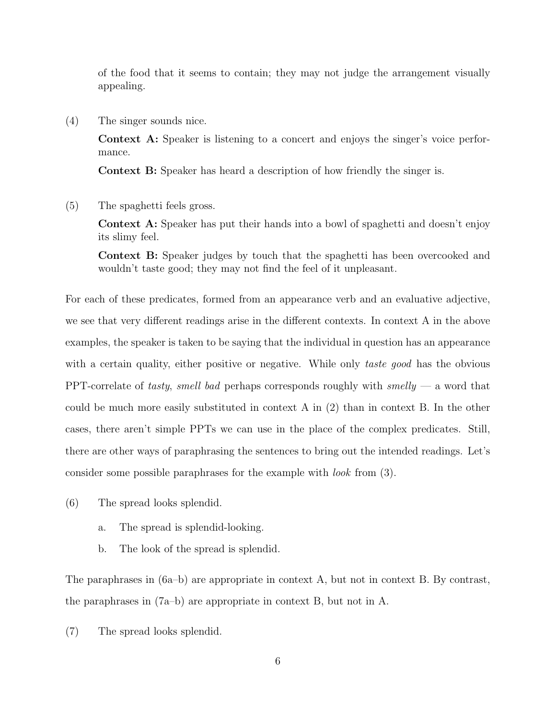of the food that it seems to contain; they may not judge the arrangement visually appealing.

(4) The singer sounds nice.

Context A: Speaker is listening to a concert and enjoys the singer's voice performance.

Context B: Speaker has heard a description of how friendly the singer is.

(5) The spaghetti feels gross.

Context A: Speaker has put their hands into a bowl of spaghetti and doesn't enjoy its slimy feel.

Context B: Speaker judges by touch that the spaghetti has been overcooked and wouldn't taste good; they may not find the feel of it unpleasant.

For each of these predicates, formed from an appearance verb and an evaluative adjective, we see that very different readings arise in the different contexts. In context A in the above examples, the speaker is taken to be saying that the individual in question has an appearance with a certain quality, either positive or negative. While only taste good has the obvious PPT-correlate of tasty, smell bad perhaps corresponds roughly with  $smelly$  — a word that could be much more easily substituted in context A in [\(2\)](#page-4-3) than in context B. In the other cases, there aren't simple PPTs we can use in the place of the complex predicates. Still, there are other ways of paraphrasing the sentences to bring out the intended readings. Let's consider some possible paraphrases for the example with look from [\(3\).](#page-4-4)

- <span id="page-5-0"></span>(6) The spread looks splendid.
	- a. The spread is splendid-looking.
	- b. The look of the spread is splendid.

The paraphrases in (6a–b) are appropriate in context A, but not in context B. By contrast, the paraphrases in  $(7a-b)$  are appropriate in context B, but not in A.

(7) The spread looks splendid.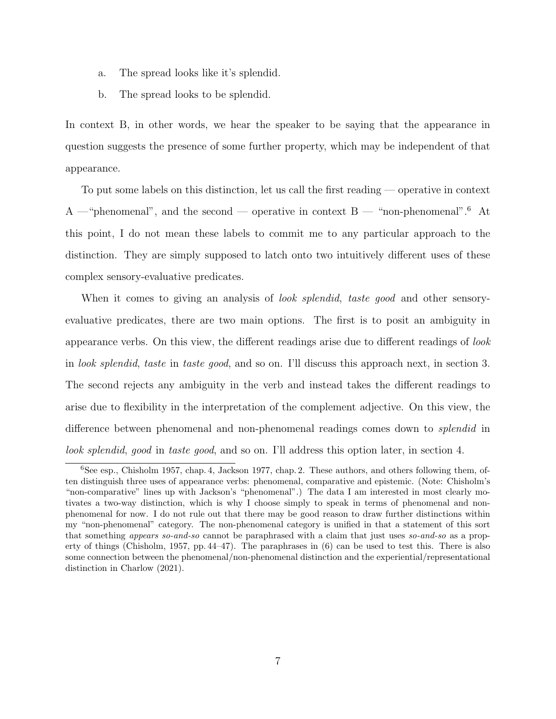- a. The spread looks like it's splendid.
- b. The spread looks to be splendid.

In context B, in other words, we hear the speaker to be saying that the appearance in question suggests the presence of some further property, which may be independent of that appearance.

To put some labels on this distinction, let us call the first reading — operative in context A —"phenomenal", and the second — operative in context  $B -$  "non-phenomenal".<sup>[6](#page-6-1)</sup> At this point, I do not mean these labels to commit me to any particular approach to the distinction. They are simply supposed to latch onto two intuitively different uses of these complex sensory-evaluative predicates.

When it comes to giving an analysis of *look splendid*, taste good and other sensoryevaluative predicates, there are two main options. The first is to posit an ambiguity in appearance verbs. On this view, the different readings arise due to different readings of look in look splendid, taste in taste good, and so on. I'll discuss this approach next, in section [3.](#page-6-0) The second rejects any ambiguity in the verb and instead takes the different readings to arise due to flexibility in the interpretation of the complement adjective. On this view, the difference between phenomenal and non-phenomenal readings comes down to splendid in look splendid, good in taste good, and so on. I'll address this option later, in section [4.](#page-17-0)

<span id="page-6-1"></span><span id="page-6-0"></span><sup>6</sup>See esp., [Chisholm](#page-29-5) [1957,](#page-29-5) chap. 4, [Jackson](#page-29-6) [1977,](#page-29-6) chap. 2. These authors, and others following them, often distinguish three uses of appearance verbs: phenomenal, comparative and epistemic. (Note: Chisholm's "non-comparative" lines up with Jackson's "phenomenal".) The data I am interested in most clearly motivates a two-way distinction, which is why I choose simply to speak in terms of phenomenal and nonphenomenal for now. I do not rule out that there may be good reason to draw further distinctions within my "non-phenomenal" category. The non-phenomenal category is unified in that a statement of this sort that something appears so-and-so cannot be paraphrased with a claim that just uses so-and-so as a property of things [\(Chisholm,](#page-29-5) [1957,](#page-29-5) pp. 44–47). The paraphrases in [\(6\)](#page-5-0) can be used to test this. There is also some connection between the phenomenal/non-phenomenal distinction and the experiential/representational distinction in [Charlow](#page-29-11) [\(2021\)](#page-29-11).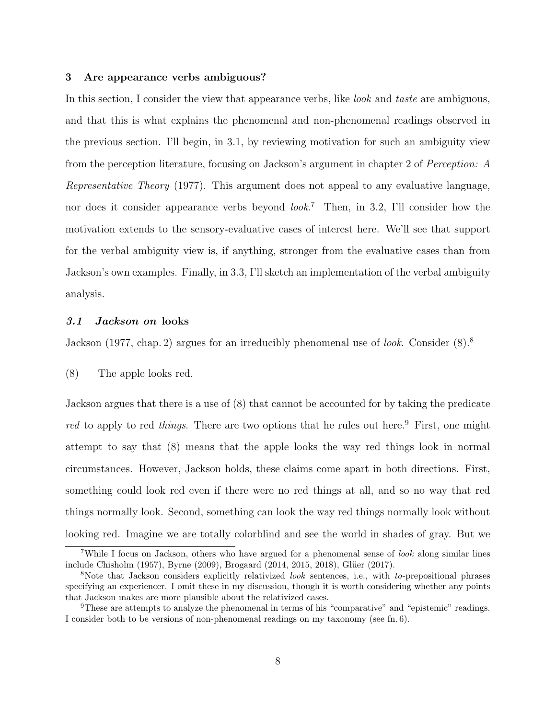#### 3 Are appearance verbs ambiguous?

In this section, I consider the view that appearance verbs, like *look* and *taste* are ambiguous, and that this is what explains the phenomenal and non-phenomenal readings observed in the previous section. I'll begin, in [3.1,](#page-7-0) by reviewing motivation for such an ambiguity view from the perception literature, focusing on Jackson's argument in chapter 2 of Perception: A Representative Theory (1977). This argument does not appeal to any evaluative language, nor does it consider appearance verbs beyond *look*.<sup>[7](#page-7-1)</sup> Then, in [3.2,](#page-9-0) I'll consider how the motivation extends to the sensory-evaluative cases of interest here. We'll see that support for the verbal ambiguity view is, if anything, stronger from the evaluative cases than from Jackson's own examples. Finally, in [3.3,](#page-12-0) I'll sketch an implementation of the verbal ambiguity analysis.

## <span id="page-7-0"></span>3.1 Jackson on looks

<span id="page-7-4"></span>[Jackson](#page-29-6) [\(1977,](#page-29-6) chap. 2) argues for an irreducibly phenomenal use of *look*. Consider  $(8)$  $(8)$  $(8)$ .<sup>8</sup>

(8) The apple looks red.

Jackson argues that there is a use of (8) that cannot be accounted for by taking the predicate red to apply to red things. There are two options that he rules out here.<sup>[9](#page-7-3)</sup> First, one might attempt to say that (8) means that the apple looks the way red things look in normal circumstances. However, Jackson holds, these claims come apart in both directions. First, something could look red even if there were no red things at all, and so no way that red things normally look. Second, something can look the way red things normally look without looking red. Imagine we are totally colorblind and see the world in shades of gray. But we

<span id="page-7-1"></span><sup>&</sup>lt;sup>7</sup>While I focus on Jackson, others who have argued for a phenomenal sense of look along similar lines include [Chisholm](#page-29-5) [\(1957\)](#page-29-5), [Byrne](#page-29-12) [\(2009\)](#page-29-12), [Brogaard](#page-29-7) [\(2014,](#page-29-7) [2015,](#page-29-8) [2018\)](#page-29-13), Glüer [\(2017\)](#page-29-9).

<span id="page-7-2"></span><sup>&</sup>lt;sup>8</sup>Note that Jackson considers explicitly relativized *look* sentences, i.e., with to-prepositional phrases specifying an experiencer. I omit these in my discussion, though it is worth considering whether any points that Jackson makes are more plausible about the relativized cases.

<span id="page-7-3"></span> $9$ These are attempts to analyze the phenomenal in terms of his "comparative" and "epistemic" readings. I consider both to be versions of non-phenomenal readings on my taxonomy (see fn. [6\)](#page-6-1).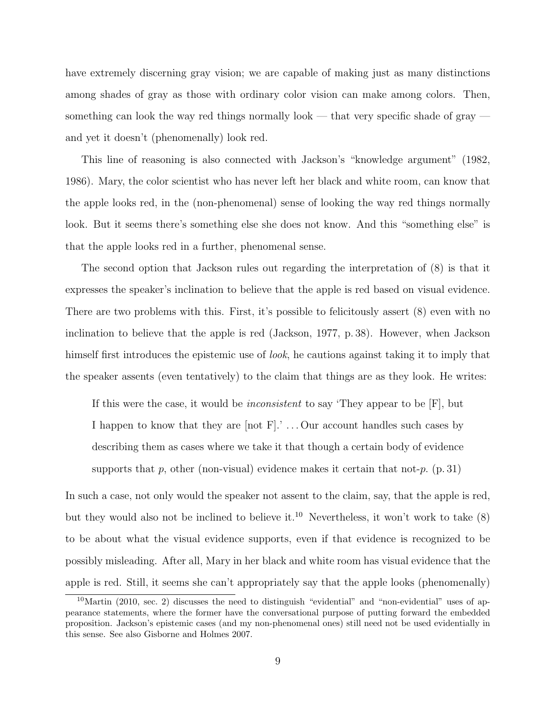have extremely discerning gray vision; we are capable of making just as many distinctions among shades of gray as those with ordinary color vision can make among colors. Then, something can look the way red things normally look — that very specific shade of gray and yet it doesn't (phenomenally) look red.

This line of reasoning is also connected with Jackson's "knowledge argument" [\(1982,](#page-29-14) [1986\)](#page-29-15). Mary, the color scientist who has never left her black and white room, can know that the apple looks red, in the (non-phenomenal) sense of looking the way red things normally look. But it seems there's something else she does not know. And this "something else" is that the apple looks red in a further, phenomenal sense.

The second option that Jackson rules out regarding the interpretation of (8) is that it expresses the speaker's inclination to believe that the apple is red based on visual evidence. There are two problems with this. First, it's possible to felicitously assert (8) even with no inclination to believe that the apple is red [\(Jackson,](#page-29-6) [1977,](#page-29-6) p. 38). However, when Jackson himself first introduces the epistemic use of *look*, he cautions against taking it to imply that the speaker assents (even tentatively) to the claim that things are as they look. He writes:

If this were the case, it would be inconsistent to say 'They appear to be [F], but I happen to know that they are  $[not F]$ .'... Our account handles such cases by describing them as cases where we take it that though a certain body of evidence supports that p, other (non-visual) evidence makes it certain that not-p.  $(p. 31)$ 

In such a case, not only would the speaker not assent to the claim, say, that the apple is red, but they would also not be inclined to believe it.<sup>[10](#page-8-0)</sup> Nevertheless, it won't work to take  $(8)$ to be about what the visual evidence supports, even if that evidence is recognized to be possibly misleading. After all, Mary in her black and white room has visual evidence that the apple is red. Still, it seems she can't appropriately say that the apple looks (phenomenally)

<span id="page-8-0"></span><sup>10</sup>[Martin](#page-30-9) [\(2010,](#page-30-9) sec. 2) discusses the need to distinguish "evidential" and "non-evidential" uses of appearance statements, where the former have the conversational purpose of putting forward the embedded proposition. Jackson's epistemic cases (and my non-phenomenal ones) still need not be used evidentially in this sense. See also [Gisborne and Holmes](#page-29-16) [2007.](#page-29-16)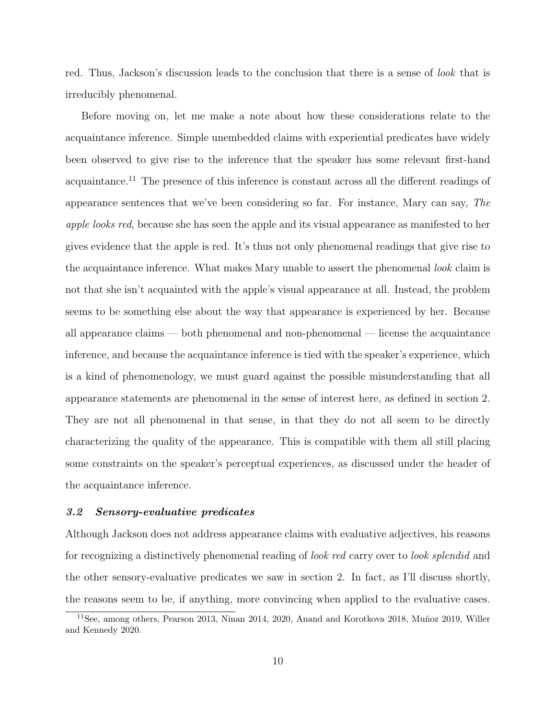red. Thus, Jackson's discussion leads to the conclusion that there is a sense of *look* that is irreducibly phenomenal.

Before moving on, let me make a note about how these considerations relate to the acquaintance inference. Simple unembedded claims with experiential predicates have widely been observed to give rise to the inference that the speaker has some relevant first-hand acquaintance.[11](#page-9-1) The presence of this inference is constant across all the different readings of appearance sentences that we've been considering so far. For instance, Mary can say, The apple looks red, because she has seen the apple and its visual appearance as manifested to her gives evidence that the apple is red. It's thus not only phenomenal readings that give rise to the acquaintance inference. What makes Mary unable to assert the phenomenal *look* claim is not that she isn't acquainted with the apple's visual appearance at all. Instead, the problem seems to be something else about the way that appearance is experienced by her. Because all appearance claims — both phenomenal and non-phenomenal — license the acquaintance inference, and because the acquaintance inference is tied with the speaker's experience, which is a kind of phenomenology, we must guard against the possible misunderstanding that all appearance statements are phenomenal in the sense of interest here, as defined in section [2.](#page-3-0) They are not all phenomenal in that sense, in that they do not all seem to be directly characterizing the quality of the appearance. This is compatible with them all still placing some constraints on the speaker's perceptual experiences, as discussed under the header of the acquaintance inference.

#### <span id="page-9-0"></span>3.2 Sensory-evaluative predicates

Although Jackson does not address appearance claims with evaluative adjectives, his reasons for recognizing a distinctively phenomenal reading of look red carry over to look splendid and the other sensory-evaluative predicates we saw in section [2.](#page-3-0) In fact, as I'll discuss shortly, the reasons seem to be, if anything, more convincing when applied to the evaluative cases.

<span id="page-9-1"></span> $11$ See, among others, [Pearson](#page-31-4) [2013,](#page-31-4) [Ninan](#page-31-2) [2014,](#page-31-2) [2020,](#page-31-3) [Anand and Korotkova](#page-29-2) [2018,](#page-29-2) Muñoz [2019,](#page-31-6) [Willer](#page-32-4) [and Kennedy](#page-32-4) [2020.](#page-32-4)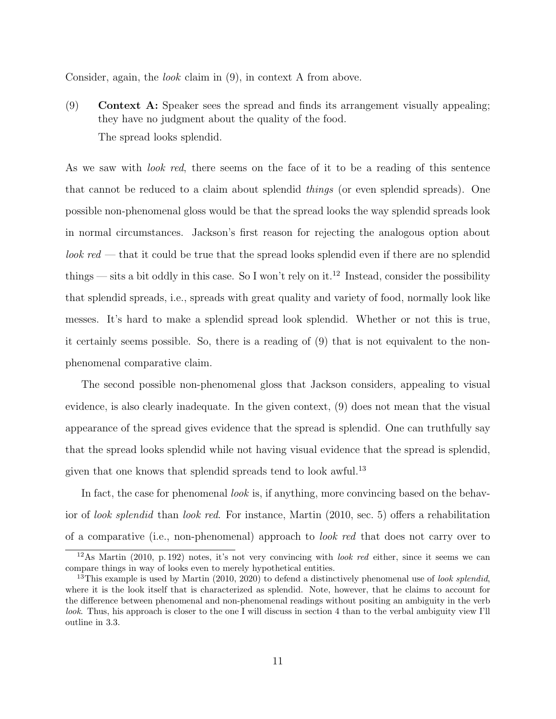Consider, again, the look claim in (9), in context A from above.

(9) Context A: Speaker sees the spread and finds its arrangement visually appealing; they have no judgment about the quality of the food. The spread looks splendid.

As we saw with *look red*, there seems on the face of it to be a reading of this sentence that cannot be reduced to a claim about splendid things (or even splendid spreads). One possible non-phenomenal gloss would be that the spread looks the way splendid spreads look in normal circumstances. Jackson's first reason for rejecting the analogous option about  $look red$  — that it could be true that the spread looks splendid even if there are no splendid things — sits a bit oddly in this case. So I won't rely on it.<sup>[12](#page-10-0)</sup> Instead, consider the possibility that splendid spreads, i.e., spreads with great quality and variety of food, normally look like messes. It's hard to make a splendid spread look splendid. Whether or not this is true, it certainly seems possible. So, there is a reading of (9) that is not equivalent to the nonphenomenal comparative claim.

The second possible non-phenomenal gloss that Jackson considers, appealing to visual evidence, is also clearly inadequate. In the given context, (9) does not mean that the visual appearance of the spread gives evidence that the spread is splendid. One can truthfully say that the spread looks splendid while not having visual evidence that the spread is splendid, given that one knows that splendid spreads tend to look awful.<sup>[13](#page-10-1)</sup>

In fact, the case for phenomenal look is, if anything, more convincing based on the behavior of look splendid than look red. For instance, [Martin](#page-30-9) [\(2010,](#page-30-9) sec. 5) offers a rehabilitation of a comparative (i.e., non-phenomenal) approach to look red that does not carry over to

<span id="page-10-0"></span><sup>12</sup>As [Martin](#page-30-9) [\(2010,](#page-30-9) p. 192) notes, it's not very convincing with look red either, since it seems we can compare things in way of looks even to merely hypothetical entities.

<span id="page-10-1"></span><sup>&</sup>lt;sup>13</sup>This example is used by [Martin](#page-30-9)  $(2010, 2020)$  $(2010, 2020)$  $(2010, 2020)$  to defend a distinctively phenomenal use of look splendid, where it is the look itself that is characterized as splendid. Note, however, that he claims to account for the difference between phenomenal and non-phenomenal readings without positing an ambiguity in the verb look. Thus, his approach is closer to the one I will discuss in section [4](#page-17-0) than to the verbal ambiguity view I'll outline in [3.3.](#page-12-0)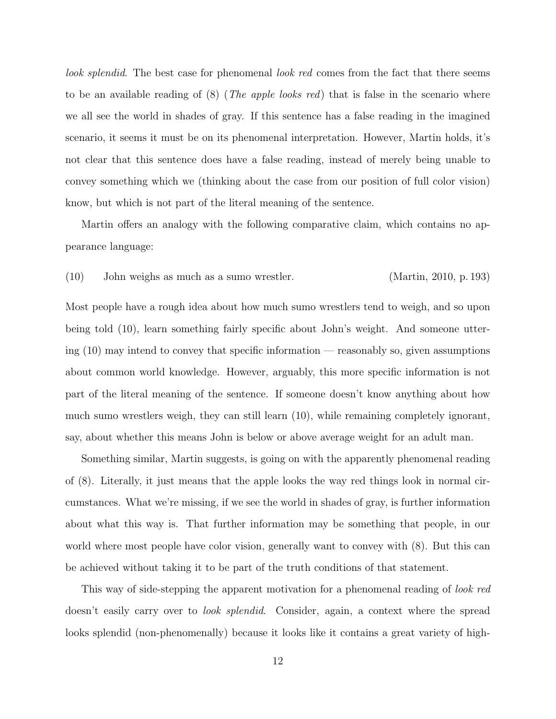look splendid. The best case for phenomenal look red comes from the fact that there seems to be an available reading of  $(8)$  (*The apple looks red*) that is false in the scenario where we all see the world in shades of gray. If this sentence has a false reading in the imagined scenario, it seems it must be on its phenomenal interpretation. However, Martin holds, it's not clear that this sentence does have a false reading, instead of merely being unable to convey something which we (thinking about the case from our position of full color vision) know, but which is not part of the literal meaning of the sentence.

Martin offers an analogy with the following comparative claim, which contains no appearance language:

(10) John weighs as much as a sumo wrestler. [\(Martin,](#page-30-9) [2010,](#page-30-9) p. 193)

Most people have a rough idea about how much sumo wrestlers tend to weigh, and so upon being told (10), learn something fairly specific about John's weight. And someone uttering (10) may intend to convey that specific information — reasonably so, given assumptions about common world knowledge. However, arguably, this more specific information is not part of the literal meaning of the sentence. If someone doesn't know anything about how much sumo wrestlers weigh, they can still learn (10), while remaining completely ignorant, say, about whether this means John is below or above average weight for an adult man.

Something similar, Martin suggests, is going on with the apparently phenomenal reading of [\(8\).](#page-7-4) Literally, it just means that the apple looks the way red things look in normal circumstances. What we're missing, if we see the world in shades of gray, is further information about what this way is. That further information may be something that people, in our world where most people have color vision, generally want to convey with [\(8\).](#page-7-4) But this can be achieved without taking it to be part of the truth conditions of that statement.

This way of side-stepping the apparent motivation for a phenomenal reading of *look red* doesn't easily carry over to *look splendid*. Consider, again, a context where the spread looks splendid (non-phenomenally) because it looks like it contains a great variety of high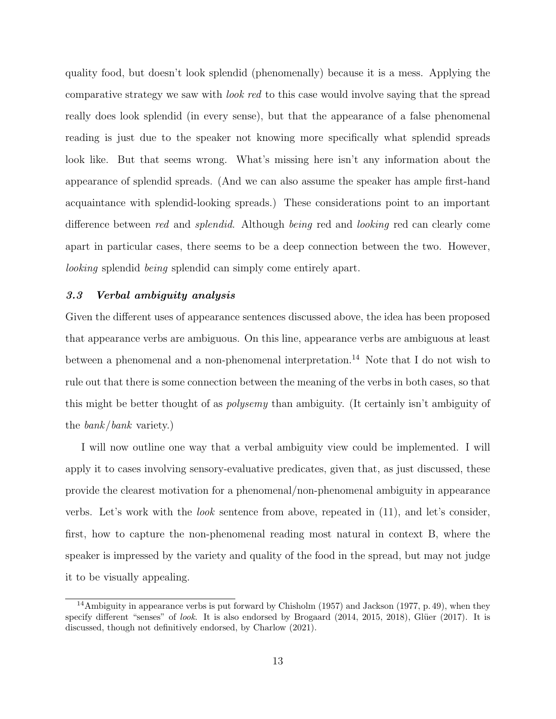quality food, but doesn't look splendid (phenomenally) because it is a mess. Applying the comparative strategy we saw with look red to this case would involve saying that the spread really does look splendid (in every sense), but that the appearance of a false phenomenal reading is just due to the speaker not knowing more specifically what splendid spreads look like. But that seems wrong. What's missing here isn't any information about the appearance of splendid spreads. (And we can also assume the speaker has ample first-hand acquaintance with splendid-looking spreads.) These considerations point to an important difference between red and splendid. Although being red and looking red can clearly come apart in particular cases, there seems to be a deep connection between the two. However, looking splendid being splendid can simply come entirely apart.

## <span id="page-12-0"></span>3.3 Verbal ambiguity analysis

Given the different uses of appearance sentences discussed above, the idea has been proposed that appearance verbs are ambiguous. On this line, appearance verbs are ambiguous at least between a phenomenal and a non-phenomenal interpretation.<sup>[14](#page-12-1)</sup> Note that I do not wish to rule out that there is some connection between the meaning of the verbs in both cases, so that this might be better thought of as polysemy than ambiguity. (It certainly isn't ambiguity of the bank/bank variety.)

I will now outline one way that a verbal ambiguity view could be implemented. I will apply it to cases involving sensory-evaluative predicates, given that, as just discussed, these provide the clearest motivation for a phenomenal/non-phenomenal ambiguity in appearance verbs. Let's work with the look sentence from above, repeated in (11), and let's consider, first, how to capture the non-phenomenal reading most natural in context B, where the speaker is impressed by the variety and quality of the food in the spread, but may not judge it to be visually appealing.

<span id="page-12-2"></span><span id="page-12-1"></span><sup>14</sup>Ambiguity in appearance verbs is put forward by [Chisholm](#page-29-5) [\(1957\)](#page-29-5) and [Jackson](#page-29-6) [\(1977,](#page-29-6) p. 49), when they specify different "senses" of *look*. It is also endorsed by [Brogaard](#page-29-7)  $(2014, 2015, 2018)$  $(2014, 2015, 2018)$  $(2014, 2015, 2018)$  $(2014, 2015, 2018)$  $(2014, 2015, 2018)$ , Glüer  $(2017)$ . It is discussed, though not definitively endorsed, by [Charlow](#page-29-11) [\(2021\)](#page-29-11).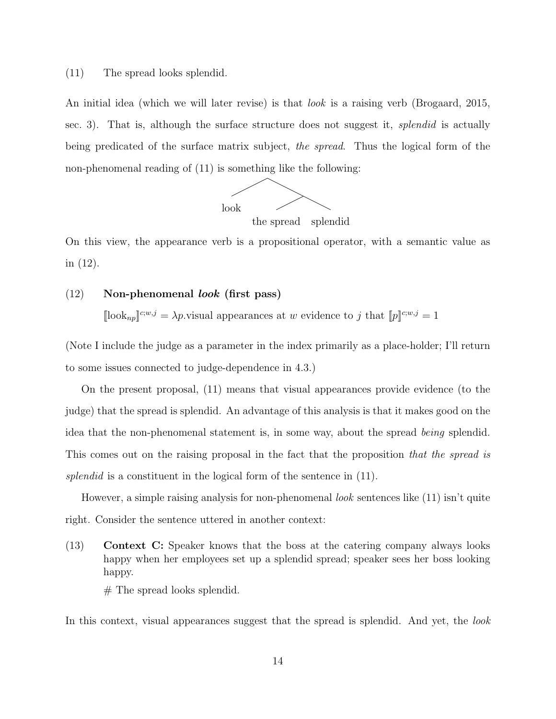#### (11) The spread looks splendid.

An initial idea (which we will later revise) is that look is a raising verb [\(Brogaard,](#page-29-8) [2015,](#page-29-8) sec. 3). That is, although the surface structure does not suggest it, *splendid* is actually being predicated of the surface matrix subject, the spread. Thus the logical form of the non-phenomenal reading of (11) is something like the following:



On this view, the appearance verb is a propositional operator, with a semantic value as in (12).

## <span id="page-13-0"></span> $(12)$  Non-phenomenal *look* (first pass)

 $[\lceil \cosh_{np} \rceil^{c;w,j} = \lambda p$  visual appearances at w evidence to j that  $[p]^{c;w,j} = 1$ 

(Note I include the judge as a parameter in the index primarily as a place-holder; I'll return to some issues connected to judge-dependence in [4.3.](#page-24-0))

On the present proposal, [\(11\)](#page-12-2) means that visual appearances provide evidence (to the judge) that the spread is splendid. An advantage of this analysis is that it makes good on the idea that the non-phenomenal statement is, in some way, about the spread being splendid. This comes out on the raising proposal in the fact that the proposition that the spread is splendid is a constituent in the logical form of the sentence in [\(11\).](#page-12-2)

However, a simple raising analysis for non-phenomenal *look* sentences like [\(11\)](#page-12-2) isn't quite right. Consider the sentence uttered in another context:

(13) Context C: Speaker knows that the boss at the catering company always looks happy when her employees set up a splendid spread; speaker sees her boss looking happy.

 $#$  The spread looks splendid.

In this context, visual appearances suggest that the spread is splendid. And yet, the look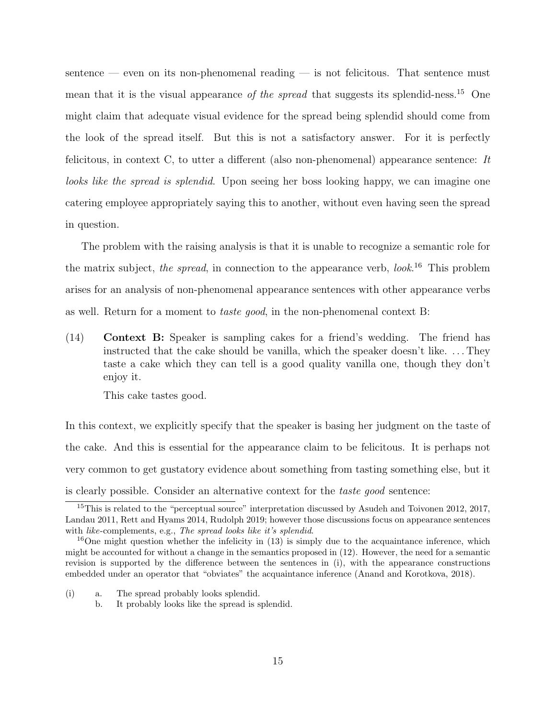sentence — even on its non-phenomenal reading — is not felicitous. That sentence must mean that it is the visual appearance of the spread that suggests its splendid-ness.<sup>[15](#page-14-0)</sup> One might claim that adequate visual evidence for the spread being splendid should come from the look of the spread itself. But this is not a satisfactory answer. For it is perfectly felicitous, in context C, to utter a different (also non-phenomenal) appearance sentence: It looks like the spread is splendid. Upon seeing her boss looking happy, we can imagine one catering employee appropriately saying this to another, without even having seen the spread in question.

The problem with the raising analysis is that it is unable to recognize a semantic role for the matrix subject, the spread, in connection to the appearance verb,  $look.^{16}$  $look.^{16}$  $look.^{16}$  This problem arises for an analysis of non-phenomenal appearance sentences with other appearance verbs as well. Return for a moment to taste good, in the non-phenomenal context B:

<span id="page-14-2"></span>(14) Context B: Speaker is sampling cakes for a friend's wedding. The friend has instructed that the cake should be vanilla, which the speaker doesn't like. . . . They taste a cake which they can tell is a good quality vanilla one, though they don't enjoy it.

This cake tastes good.

In this context, we explicitly specify that the speaker is basing her judgment on the taste of the cake. And this is essential for the appearance claim to be felicitous. It is perhaps not very common to get gustatory evidence about something from tasting something else, but it is clearly possible. Consider an alternative context for the taste good sentence:

- (i) a. The spread probably looks splendid.
	- b. It probably looks like the spread is splendid.

<span id="page-14-0"></span><sup>&</sup>lt;sup>15</sup>This is related to the "perceptual source" interpretation discussed by [Asudeh and Toivonen](#page-29-17) [2012,](#page-29-17) [2017,](#page-29-18) [Landau](#page-30-11) [2011,](#page-30-11) [Rett and Hyams](#page-31-9) [2014,](#page-31-9) [Rudolph](#page-31-10) [2019;](#page-31-10) however those discussions focus on appearance sentences with *like*-complements, e.g., *The spread looks like it's splendid*.

<span id="page-14-1"></span><sup>&</sup>lt;sup>16</sup>One might question whether the infelicity in  $(13)$  is simply due to the acquaintance inference, which might be accounted for without a change in the semantics proposed in [\(12\).](#page-13-0) However, the need for a semantic revision is supported by the difference between the sentences in (i), with the appearance constructions embedded under an operator that "obviates" the acquaintance inference [\(Anand and Korotkova,](#page-29-2) [2018\)](#page-29-2).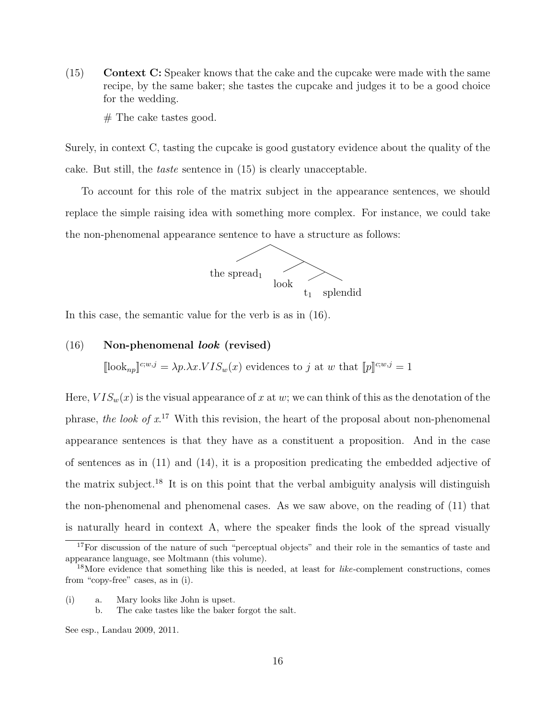- (15) Context C: Speaker knows that the cake and the cupcake were made with the same recipe, by the same baker; she tastes the cupcake and judges it to be a good choice for the wedding.
	- $#$  The cake tastes good.

Surely, in context C, tasting the cupcake is good gustatory evidence about the quality of the cake. But still, the taste sentence in (15) is clearly unacceptable.

To account for this role of the matrix subject in the appearance sentences, we should replace the simple raising idea with something more complex. For instance, we could take the non-phenomenal appearance sentence to have a structure as follows:



<span id="page-15-2"></span>In this case, the semantic value for the verb is as in (16).

#### (16) Non-phenomenal look (revised)

 $[\lceil \text{look}_{np} \rceil^{c;w,j} = \lambda p.\lambda x.VIS_w(x)$  evidences to j at w that  $[\![p]\!]^{c;w,j} = 1$ 

Here,  $VIS_w(x)$  is the visual appearance of x at w; we can think of this as the denotation of the phrase, the look of  $x^{17}$  $x^{17}$  $x^{17}$  With this revision, the heart of the proposal about non-phenomenal appearance sentences is that they have as a constituent a proposition. And in the case of sentences as in [\(11\)](#page-12-2) and [\(14\),](#page-14-2) it is a proposition predicating the embedded adjective of the matrix subject.[18](#page-15-1) It is on this point that the verbal ambiguity analysis will distinguish the non-phenomenal and phenomenal cases. As we saw above, on the reading of [\(11\)](#page-12-2) that is naturally heard in context A, where the speaker finds the look of the spread visually

(i) a. Mary looks like John is upset.

<span id="page-15-0"></span><sup>&</sup>lt;sup>17</sup>For discussion of the nature of such "perceptual objects" and their role in the semantics of taste and appearance language, see [Moltmann](#page-31-11) (this volume).

<span id="page-15-1"></span><sup>&</sup>lt;sup>18</sup>More evidence that something like this is needed, at least for *like*-complement constructions, comes from "copy-free" cases, as in (i).

b. The cake tastes like the baker forgot the salt.

See esp., [Landau](#page-30-12) [2009,](#page-30-12) [2011.](#page-30-11)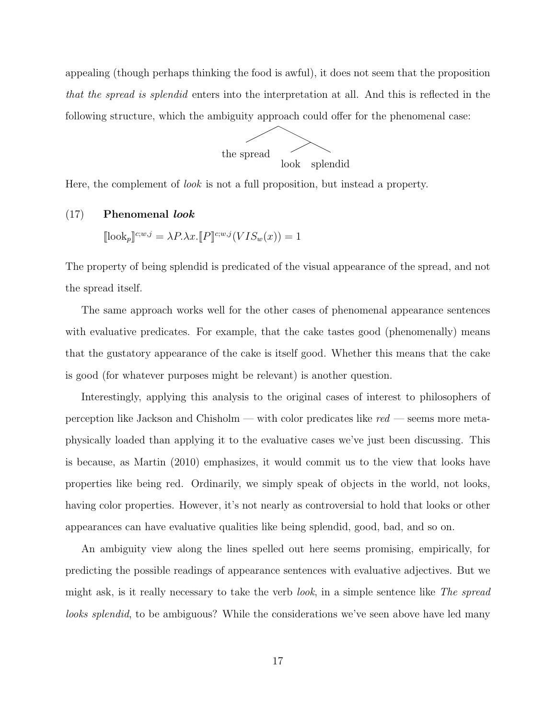appealing (though perhaps thinking the food is awful), it does not seem that the proposition that the spread is splendid enters into the interpretation at all. And this is reflected in the following structure, which the ambiguity approach could offer for the phenomenal case:



<span id="page-16-0"></span>Here, the complement of look is not a full proposition, but instead a property.

#### (17) Phenomenal look

 $[\lbrack\{\text{look}_p\rrbracket^{c;w,j} = \lambda P.\lambda x.\lbrack\!\lbrack P\rbrack\!\rbrack^{c;w,j}(VIS_w(x)) = 1$ 

The property of being splendid is predicated of the visual appearance of the spread, and not the spread itself.

The same approach works well for the other cases of phenomenal appearance sentences with evaluative predicates. For example, that the cake tastes good (phenomenally) means that the gustatory appearance of the cake is itself good. Whether this means that the cake is good (for whatever purposes might be relevant) is another question.

Interestingly, applying this analysis to the original cases of interest to philosophers of perception like Jackson and Chisholm — with color predicates like  $red$  — seems more metaphysically loaded than applying it to the evaluative cases we've just been discussing. This is because, as [Martin](#page-30-9) [\(2010\)](#page-30-9) emphasizes, it would commit us to the view that looks have properties like being red. Ordinarily, we simply speak of objects in the world, not looks, having color properties. However, it's not nearly as controversial to hold that looks or other appearances can have evaluative qualities like being splendid, good, bad, and so on.

An ambiguity view along the lines spelled out here seems promising, empirically, for predicting the possible readings of appearance sentences with evaluative adjectives. But we might ask, is it really necessary to take the verb *look*, in a simple sentence like The spread looks splendid, to be ambiguous? While the considerations we've seen above have led many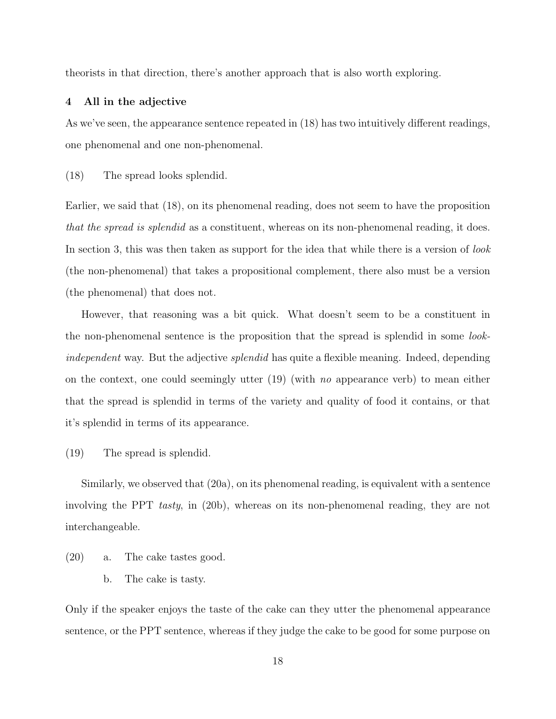<span id="page-17-0"></span>theorists in that direction, there's another approach that is also worth exploring.

#### 4 All in the adjective

As we've seen, the appearance sentence repeated in (18) has two intuitively different readings, one phenomenal and one non-phenomenal.

(18) The spread looks splendid.

Earlier, we said that (18), on its phenomenal reading, does not seem to have the proposition that the spread is splendid as a constituent, whereas on its non-phenomenal reading, it does. In section [3,](#page-6-0) this was then taken as support for the idea that while there is a version of *look* (the non-phenomenal) that takes a propositional complement, there also must be a version (the phenomenal) that does not.

However, that reasoning was a bit quick. What doesn't seem to be a constituent in the non-phenomenal sentence is the proposition that the spread is splendid in some lookindependent way. But the adjective *splendid* has quite a flexible meaning. Indeed, depending on the context, one could seemingly utter  $(19)$  (with no appearance verb) to mean either that the spread is splendid in terms of the variety and quality of food it contains, or that it's splendid in terms of its appearance.

(19) The spread is splendid.

Similarly, we observed that (20a), on its phenomenal reading, is equivalent with a sentence involving the PPT *tasty*, in (20b), whereas on its non-phenomenal reading, they are not interchangeable.

- (20) a. The cake tastes good.
	- b. The cake is tasty.

Only if the speaker enjoys the taste of the cake can they utter the phenomenal appearance sentence, or the PPT sentence, whereas if they judge the cake to be good for some purpose on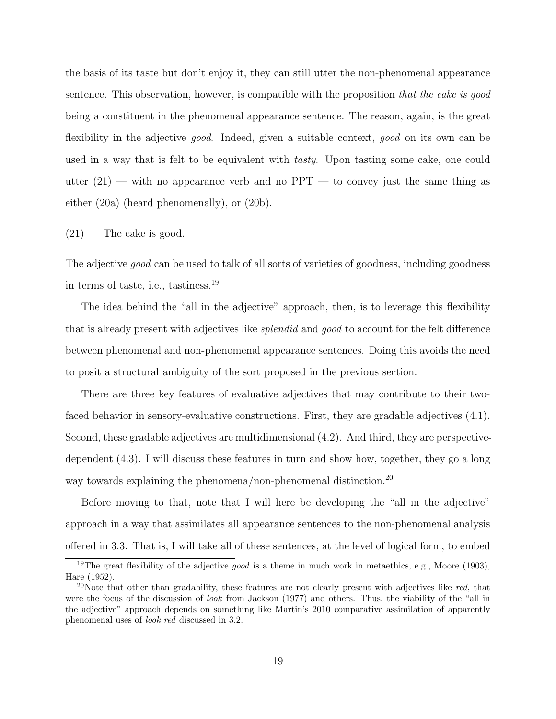the basis of its taste but don't enjoy it, they can still utter the non-phenomenal appearance sentence. This observation, however, is compatible with the proposition that the cake is good being a constituent in the phenomenal appearance sentence. The reason, again, is the great flexibility in the adjective good. Indeed, given a suitable context, good on its own can be used in a way that is felt to be equivalent with tasty. Upon tasting some cake, one could utter  $(21)$  — with no appearance verb and no PPT — to convey just the same thing as either (20a) (heard phenomenally), or (20b).

#### (21) The cake is good.

The adjective *good* can be used to talk of all sorts of varieties of goodness, including goodness in terms of taste, i.e., tastiness.[19](#page-18-0)

The idea behind the "all in the adjective" approach, then, is to leverage this flexibility that is already present with adjectives like splendid and good to account for the felt difference between phenomenal and non-phenomenal appearance sentences. Doing this avoids the need to posit a structural ambiguity of the sort proposed in the previous section.

There are three key features of evaluative adjectives that may contribute to their twofaced behavior in sensory-evaluative constructions. First, they are gradable adjectives [\(4.1\)](#page-19-0). Second, these gradable adjectives are multidimensional [\(4.2\)](#page-20-0). And third, they are perspectivedependent [\(4.3\)](#page-24-0). I will discuss these features in turn and show how, together, they go a long way towards explaining the phenomena/non-phenomenal distinction.<sup>[20](#page-18-1)</sup>

Before moving to that, note that I will here be developing the "all in the adjective" approach in a way that assimilates all appearance sentences to the non-phenomenal analysis offered in [3.3.](#page-12-0) That is, I will take all of these sentences, at the level of logical form, to embed

<span id="page-18-0"></span><sup>&</sup>lt;sup>19</sup>The great flexibility of the adjective *good* is a theme in much work in metaethics, e.g., [Moore](#page-31-12) [\(1903\)](#page-31-12), [Hare](#page-29-19) [\(1952\)](#page-29-19).

<span id="page-18-1"></span><sup>&</sup>lt;sup>20</sup>Note that other than gradability, these features are not clearly present with adjectives like red, that were the focus of the discussion of look from [Jackson](#page-29-6) [\(1977\)](#page-29-6) and others. Thus, the viability of the "all in the adjective" approach depends on something like [Martin'](#page-30-9)s [2010](#page-30-9) comparative assimilation of apparently phenomenal uses of look red discussed in [3.2.](#page-9-0)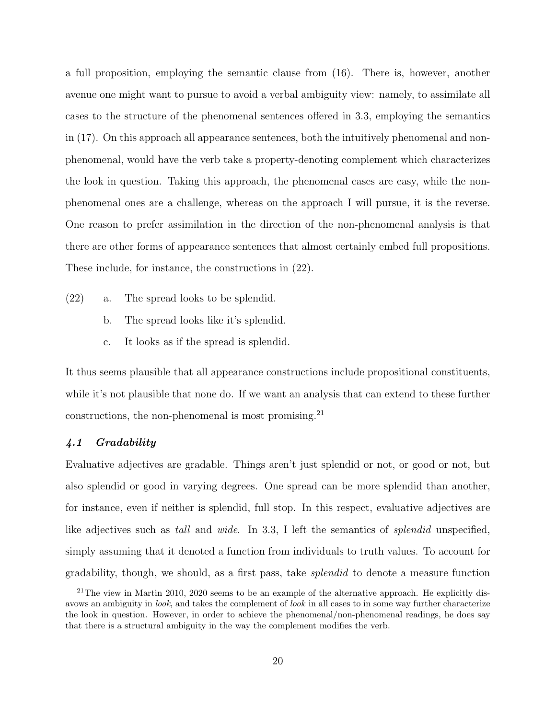a full proposition, employing the semantic clause from [\(16\).](#page-15-2) There is, however, another avenue one might want to pursue to avoid a verbal ambiguity view: namely, to assimilate all cases to the structure of the phenomenal sentences offered in [3.3,](#page-12-0) employing the semantics in [\(17\).](#page-16-0) On this approach all appearance sentences, both the intuitively phenomenal and nonphenomenal, would have the verb take a property-denoting complement which characterizes the look in question. Taking this approach, the phenomenal cases are easy, while the nonphenomenal ones are a challenge, whereas on the approach I will pursue, it is the reverse. One reason to prefer assimilation in the direction of the non-phenomenal analysis is that there are other forms of appearance sentences that almost certainly embed full propositions. These include, for instance, the constructions in (22).

- (22) a. The spread looks to be splendid.
	- b. The spread looks like it's splendid.
	- c. It looks as if the spread is splendid.

It thus seems plausible that all appearance constructions include propositional constituents, while it's not plausible that none do. If we want an analysis that can extend to these further constructions, the non-phenomenal is most promising.<sup>[21](#page-19-1)</sup>

## <span id="page-19-0"></span>4.1 Gradability

Evaluative adjectives are gradable. Things aren't just splendid or not, or good or not, but also splendid or good in varying degrees. One spread can be more splendid than another, for instance, even if neither is splendid, full stop. In this respect, evaluative adjectives are like adjectives such as tall and wide. In [3.3,](#page-12-0) I left the semantics of *splendid* unspecified, simply assuming that it denoted a function from individuals to truth values. To account for gradability, though, we should, as a first pass, take splendid to denote a measure function

<span id="page-19-1"></span> $21$ The view in [Martin](#page-30-9) [2010,](#page-30-9) [2020](#page-30-10) seems to be an example of the alternative approach. He explicitly disavows an ambiguity in look, and takes the complement of look in all cases to in some way further characterize the look in question. However, in order to achieve the phenomenal/non-phenomenal readings, he does say that there is a structural ambiguity in the way the complement modifies the verb.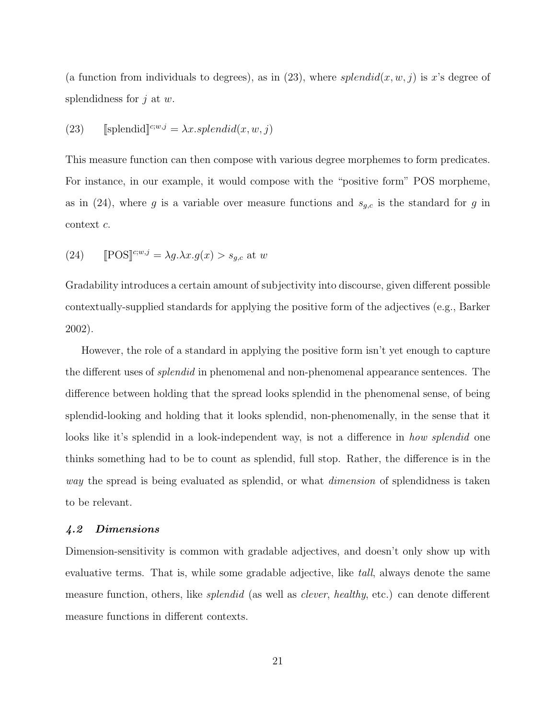(a function from individuals to degrees), as in (23), where  $splendid(x, w, j)$  is x's degree of splendidness for  $j$  at  $w$ .

(23) [splendid]<sup>*c*; *w*, *j*</sup> = 
$$
\lambda x
$$
.*splendid*(*x*, *w*, *j*)

This measure function can then compose with various degree morphemes to form predicates. For instance, in our example, it would compose with the "positive form" POS morpheme, as in (24), where g is a variable over measure functions and  $s_{g,c}$  is the standard for g in context c.

(24) 
$$
[\text{POS}]^{c;w,j} = \lambda g. \lambda x. g(x) > s_{g,c} \text{ at } w
$$

Gradability introduces a certain amount of subjectivity into discourse, given different possible contextually-supplied standards for applying the positive form of the adjectives (e.g., [Barker](#page-29-10) [2002\)](#page-29-10).

However, the role of a standard in applying the positive form isn't yet enough to capture the different uses of splendid in phenomenal and non-phenomenal appearance sentences. The difference between holding that the spread looks splendid in the phenomenal sense, of being splendid-looking and holding that it looks splendid, non-phenomenally, in the sense that it looks like it's splendid in a look-independent way, is not a difference in *how splendid* one thinks something had to be to count as splendid, full stop. Rather, the difference is in the way the spread is being evaluated as splendid, or what *dimension* of splendidness is taken to be relevant.

## <span id="page-20-0"></span>4.2 Dimensions

Dimension-sensitivity is common with gradable adjectives, and doesn't only show up with evaluative terms. That is, while some gradable adjective, like *tall*, always denote the same measure function, others, like *splendid* (as well as *clever*, *healthy*, etc.) can denote different measure functions in different contexts.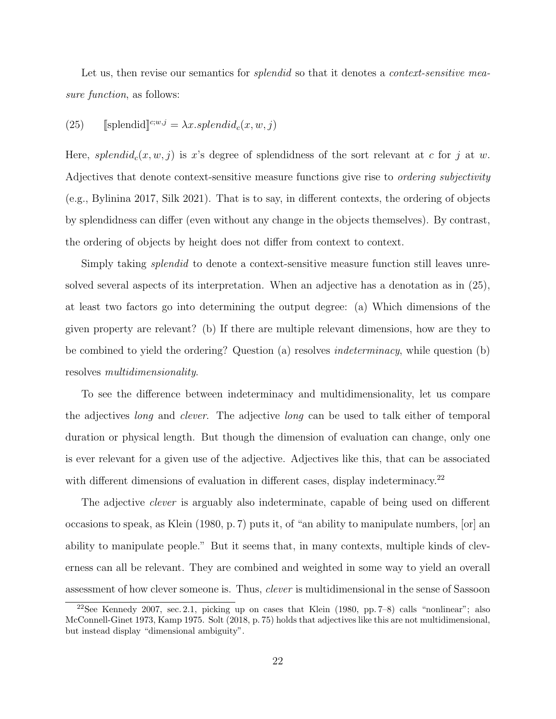Let us, then revise our semantics for *splendid* so that it denotes a *context-sensitive mea*sure function, as follows:

## (25)  $\qquad \text{[splendid]}\mathbb{C}^{w,j} = \lambda x.\text{splendid}_c(x, w, j)$

Here, splendid<sub>c</sub> $(x, w, j)$  is x's degree of splendidness of the sort relevant at c for j at w. Adjectives that denote context-sensitive measure functions give rise to *ordering subjectivity* (e.g., [Bylinina](#page-29-20) [2017,](#page-29-20) [Silk](#page-31-13) [2021\)](#page-31-13). That is to say, in different contexts, the ordering of objects by splendidness can differ (even without any change in the objects themselves). By contrast, the ordering of objects by height does not differ from context to context.

Simply taking *splendid* to denote a context-sensitive measure function still leaves unresolved several aspects of its interpretation. When an adjective has a denotation as in (25), at least two factors go into determining the output degree: (a) Which dimensions of the given property are relevant? (b) If there are multiple relevant dimensions, how are they to be combined to yield the ordering? Question (a) resolves indeterminacy, while question (b) resolves multidimensionality.

To see the difference between indeterminacy and multidimensionality, let us compare the adjectives long and clever. The adjective long can be used to talk either of temporal duration or physical length. But though the dimension of evaluation can change, only one is ever relevant for a given use of the adjective. Adjectives like this, that can be associated with different dimensions of evaluation in different cases, display indeterminacy.<sup>[22](#page-21-0)</sup>

The adjective *clever* is arguably also indeterminate, capable of being used on different occasions to speak, as [Klein](#page-30-13) [\(1980,](#page-30-13) p. 7) puts it, of "an ability to manipulate numbers, [or] an ability to manipulate people." But it seems that, in many contexts, multiple kinds of cleverness can all be relevant. They are combined and weighted in some way to yield an overall assessment of how clever someone is. Thus, clever is multidimensional in the sense of [Sassoon](#page-31-7)

<span id="page-21-0"></span><sup>22</sup>See [Kennedy](#page-30-6) [2007,](#page-30-6) sec. 2.1, picking up on cases that [Klein](#page-30-13) [\(1980,](#page-30-13) pp. 7–8) calls "nonlinear"; also [McConnell-Ginet](#page-30-14) [1973,](#page-30-14) [Kamp](#page-30-15) [1975.](#page-30-15) [Solt](#page-31-14) [\(2018,](#page-31-14) p. 75) holds that adjectives like this are not multidimensional, but instead display "dimensional ambiguity".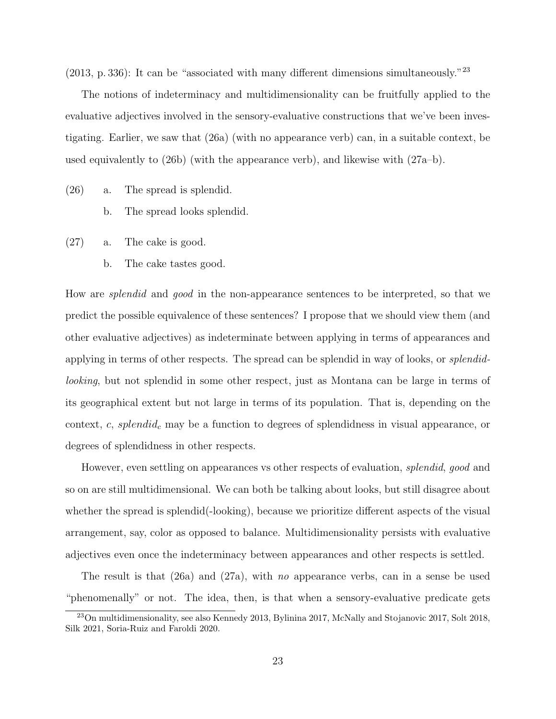$(2013, p. 336)$  $(2013, p. 336)$ : It can be "associated with many different dimensions simultaneously."<sup>[23](#page-22-0)</sup>

The notions of indeterminacy and multidimensionality can be fruitfully applied to the evaluative adjectives involved in the sensory-evaluative constructions that we've been investigating. Earlier, we saw that (26a) (with no appearance verb) can, in a suitable context, be used equivalently to (26b) (with the appearance verb), and likewise with (27a–b).

- (26) a. The spread is splendid.
	- b. The spread looks splendid.
- (27) a. The cake is good.
	- b. The cake tastes good.

How are splendid and good in the non-appearance sentences to be interpreted, so that we predict the possible equivalence of these sentences? I propose that we should view them (and other evaluative adjectives) as indeterminate between applying in terms of appearances and applying in terms of other respects. The spread can be splendid in way of looks, or splendidlooking, but not splendid in some other respect, just as Montana can be large in terms of its geographical extent but not large in terms of its population. That is, depending on the context,  $c$ , splendid<sub>c</sub> may be a function to degrees of splendidness in visual appearance, or degrees of splendidness in other respects.

However, even settling on appearances vs other respects of evaluation, *splendid, good* and so on are still multidimensional. We can both be talking about looks, but still disagree about whether the spread is splendid(-looking), because we prioritize different aspects of the visual arrangement, say, color as opposed to balance. Multidimensionality persists with evaluative adjectives even once the indeterminacy between appearances and other respects is settled.

The result is that  $(26a)$  and  $(27a)$ , with no appearance verbs, can in a sense be used "phenomenally" or not. The idea, then, is that when a sensory-evaluative predicate gets

<span id="page-22-0"></span><sup>&</sup>lt;sup>23</sup>On multidimensionality, see also [Kennedy](#page-30-7) [2013,](#page-30-7) [Bylinina](#page-29-20) [2017,](#page-30-16) [McNally and Stojanovic](#page-30-16) 2017, [Solt](#page-31-14) [2018,](#page-31-14) [Silk](#page-31-13) [2021,](#page-31-13) [Soria-Ruiz and Faroldi](#page-31-15) [2020.](#page-31-15)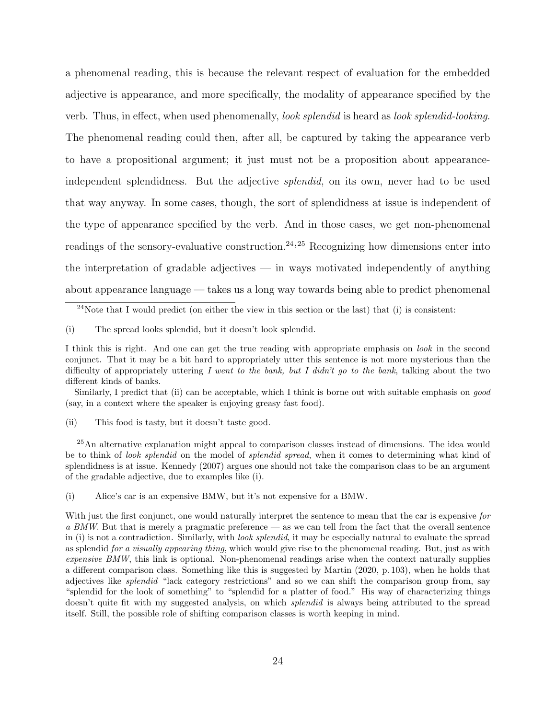a phenomenal reading, this is because the relevant respect of evaluation for the embedded adjective is appearance, and more specifically, the modality of appearance specified by the verb. Thus, in effect, when used phenomenally, look splendid is heard as look splendid-looking. The phenomenal reading could then, after all, be captured by taking the appearance verb to have a propositional argument; it just must not be a proposition about appearanceindependent splendidness. But the adjective *splendid*, on its own, never had to be used that way anyway. In some cases, though, the sort of splendidness at issue is independent of the type of appearance specified by the verb. And in those cases, we get non-phenomenal readings of the sensory-evaluative construction.<sup>[24](#page-23-0),[25](#page-23-1)</sup> Recognizing how dimensions enter into the interpretation of gradable adjectives  $-$  in ways motivated independently of anything about appearance language — takes us a long way towards being able to predict phenomenal

(i) The spread looks splendid, but it doesn't look splendid.

Similarly, I predict that (ii) can be acceptable, which I think is borne out with suitable emphasis on good (say, in a context where the speaker is enjoying greasy fast food).

(ii) This food is tasty, but it doesn't taste good.

<span id="page-23-1"></span><sup>25</sup>An alternative explanation might appeal to comparison classes instead of dimensions. The idea would be to think of look splendid on the model of splendid spread, when it comes to determining what kind of splendidness is at issue. [Kennedy](#page-30-6) [\(2007\)](#page-30-6) argues one should not take the comparison class to be an argument of the gradable adjective, due to examples like (i).

(i) Alice's car is an expensive BMW, but it's not expensive for a BMW.

<span id="page-23-0"></span> $^{24}$ Note that I would predict (on either the view in this section or the last) that (i) is consistent:

I think this is right. And one can get the true reading with appropriate emphasis on look in the second conjunct. That it may be a bit hard to appropriately utter this sentence is not more mysterious than the difficulty of appropriately uttering I went to the bank, but I didn't go to the bank, talking about the two different kinds of banks.

With just the first conjunct, one would naturally interpret the sentence to mean that the car is expensive for a BMW. But that is merely a pragmatic preference — as we can tell from the fact that the overall sentence in (i) is not a contradiction. Similarly, with *look splendid*, it may be especially natural to evaluate the spread as splendid for a visually appearing thing, which would give rise to the phenomenal reading. But, just as with expensive BMW, this link is optional. Non-phenomenal readings arise when the context naturally supplies a different comparison class. Something like this is suggested by [Martin](#page-30-10) [\(2020,](#page-30-10) p. 103), when he holds that adjectives like splendid "lack category restrictions" and so we can shift the comparison group from, say "splendid for the look of something" to "splendid for a platter of food." His way of characterizing things doesn't quite fit with my suggested analysis, on which *splendid* is always being attributed to the spread itself. Still, the possible role of shifting comparison classes is worth keeping in mind.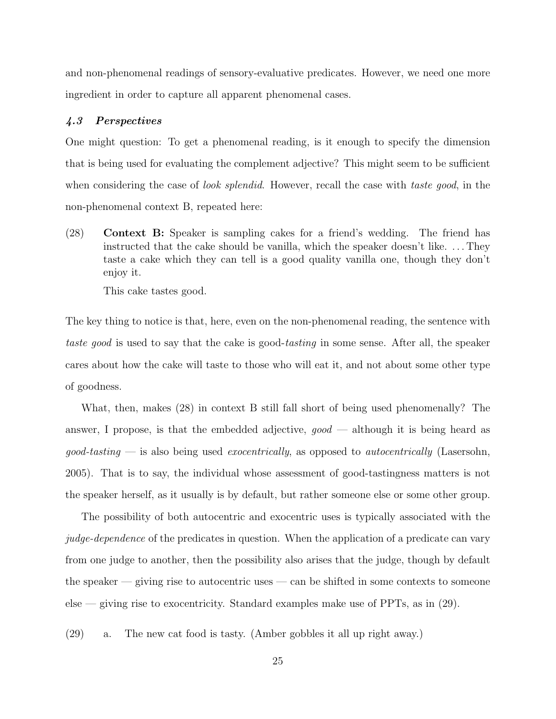and non-phenomenal readings of sensory-evaluative predicates. However, we need one more ingredient in order to capture all apparent phenomenal cases.

## <span id="page-24-0"></span>4.3 Perspectives

One might question: To get a phenomenal reading, is it enough to specify the dimension that is being used for evaluating the complement adjective? This might seem to be sufficient when considering the case of *look splendid*. However, recall the case with *taste good*, in the non-phenomenal context B, repeated here:

<span id="page-24-1"></span>(28) Context B: Speaker is sampling cakes for a friend's wedding. The friend has instructed that the cake should be vanilla, which the speaker doesn't like. . . . They taste a cake which they can tell is a good quality vanilla one, though they don't enjoy it.

This cake tastes good.

The key thing to notice is that, here, even on the non-phenomenal reading, the sentence with taste good is used to say that the cake is good-tasting in some sense. After all, the speaker cares about how the cake will taste to those who will eat it, and not about some other type of goodness.

What, then, makes (28) in context B still fall short of being used phenomenally? The answer, I propose, is that the embedded adjective,  $qood$  — although it is being heard as  $qood\text{-}tasting$  — is also being used *exocentrically*, as opposed to *autocentrically* [\(Lasersohn,](#page-30-1) [2005\)](#page-30-1). That is to say, the individual whose assessment of good-tastingness matters is not the speaker herself, as it usually is by default, but rather someone else or some other group.

The possibility of both autocentric and exocentric uses is typically associated with the judge-dependence of the predicates in question. When the application of a predicate can vary from one judge to another, then the possibility also arises that the judge, though by default the speaker  $-$  giving rise to autocentric uses  $-$  can be shifted in some contexts to someone else — giving rise to exocentricity. Standard examples make use of PPTs, as in (29).

(29) a. The new cat food is tasty. (Amber gobbles it all up right away.)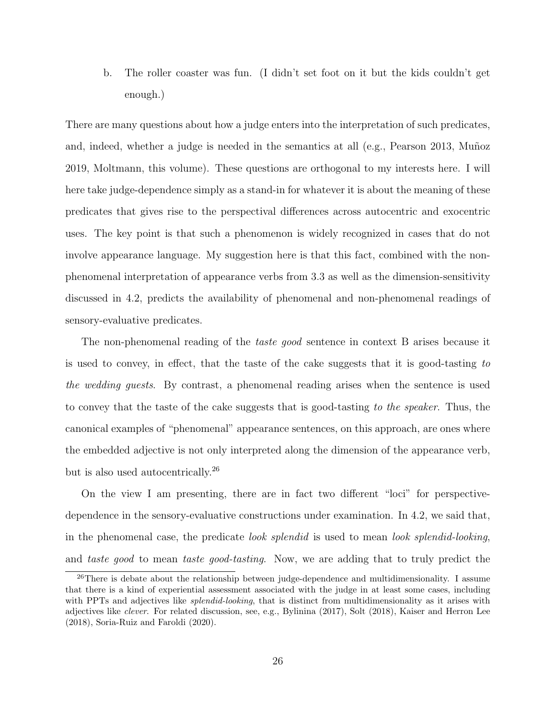b. The roller coaster was fun. (I didn't set foot on it but the kids couldn't get enough.)

There are many questions about how a judge enters into the interpretation of such predicates, and, indeed, whether a judge is needed in the semantics at all  $(e.g.,$  [Pearson](#page-31-4) [2013,](#page-31-4) Muñoz [2019,](#page-31-6) [Moltmann,](#page-31-11) this volume). These questions are orthogonal to my interests here. I will here take judge-dependence simply as a stand-in for whatever it is about the meaning of these predicates that gives rise to the perspectival differences across autocentric and exocentric uses. The key point is that such a phenomenon is widely recognized in cases that do not involve appearance language. My suggestion here is that this fact, combined with the nonphenomenal interpretation of appearance verbs from [3.3](#page-12-0) as well as the dimension-sensitivity discussed in [4.2,](#page-20-0) predicts the availability of phenomenal and non-phenomenal readings of sensory-evaluative predicates.

The non-phenomenal reading of the *taste good* sentence in context B arises because it is used to convey, in effect, that the taste of the cake suggests that it is good-tasting to the wedding guests. By contrast, a phenomenal reading arises when the sentence is used to convey that the taste of the cake suggests that is good-tasting to the speaker. Thus, the canonical examples of "phenomenal" appearance sentences, on this approach, are ones where the embedded adjective is not only interpreted along the dimension of the appearance verb, but is also used autocentrically.<sup>[26](#page-25-0)</sup>

On the view I am presenting, there are in fact two different "loci" for perspectivedependence in the sensory-evaluative constructions under examination. In [4.2,](#page-20-0) we said that, in the phenomenal case, the predicate look splendid is used to mean look splendid-looking, and taste good to mean taste good-tasting. Now, we are adding that to truly predict the

<span id="page-25-0"></span> $26$ There is debate about the relationship between judge-dependence and multidimensionality. I assume that there is a kind of experiential assessment associated with the judge in at least some cases, including with PPTs and adjectives like *splendid-looking*, that is distinct from multidimensionality as it arises with adjectives like clever. For related discussion, see, e.g., [Bylinina](#page-29-20) [\(2017\)](#page-29-20), [Solt](#page-31-14) [\(2018\)](#page-31-14), [Kaiser and Herron Lee](#page-29-21) [\(2018\)](#page-29-21), [Soria-Ruiz and Faroldi](#page-31-15) [\(2020\)](#page-31-15).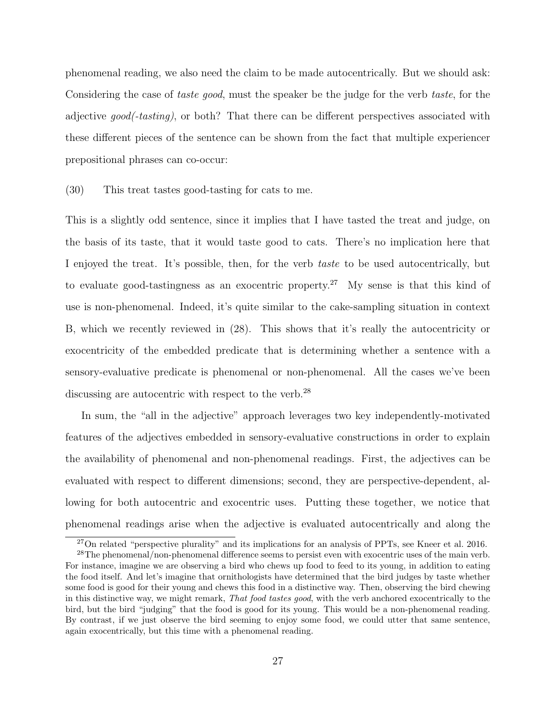phenomenal reading, we also need the claim to be made autocentrically. But we should ask: Considering the case of *taste good*, must the speaker be the judge for the verb *taste*, for the adjective good(-tasting), or both? That there can be different perspectives associated with these different pieces of the sentence can be shown from the fact that multiple experiencer prepositional phrases can co-occur:

#### (30) This treat tastes good-tasting for cats to me.

This is a slightly odd sentence, since it implies that I have tasted the treat and judge, on the basis of its taste, that it would taste good to cats. There's no implication here that I enjoyed the treat. It's possible, then, for the verb taste to be used autocentrically, but to evaluate good-tastingness as an exocentric property.<sup>[27](#page-26-0)</sup> My sense is that this kind of use is non-phenomenal. Indeed, it's quite similar to the cake-sampling situation in context B, which we recently reviewed in [\(28\).](#page-24-1) This shows that it's really the autocentricity or exocentricity of the embedded predicate that is determining whether a sentence with a sensory-evaluative predicate is phenomenal or non-phenomenal. All the cases we've been discussing are autocentric with respect to the verb.<sup>[28](#page-26-1)</sup>

In sum, the "all in the adjective" approach leverages two key independently-motivated features of the adjectives embedded in sensory-evaluative constructions in order to explain the availability of phenomenal and non-phenomenal readings. First, the adjectives can be evaluated with respect to different dimensions; second, they are perspective-dependent, allowing for both autocentric and exocentric uses. Putting these together, we notice that phenomenal readings arise when the adjective is evaluated autocentrically and along the

<span id="page-26-1"></span><span id="page-26-0"></span> $^{27}$ On related "perspective plurality" and its implications for an analysis of PPTs, see [Kneer et al.](#page-30-17) [2016.](#page-30-17)

<sup>&</sup>lt;sup>28</sup>The phenomenal/non-phenomenal difference seems to persist even with exocentric uses of the main verb. For instance, imagine we are observing a bird who chews up food to feed to its young, in addition to eating the food itself. And let's imagine that ornithologists have determined that the bird judges by taste whether some food is good for their young and chews this food in a distinctive way. Then, observing the bird chewing in this distinctive way, we might remark, That food tastes good, with the verb anchored exocentrically to the bird, but the bird "judging" that the food is good for its young. This would be a non-phenomenal reading. By contrast, if we just observe the bird seeming to enjoy some food, we could utter that same sentence, again exocentrically, but this time with a phenomenal reading.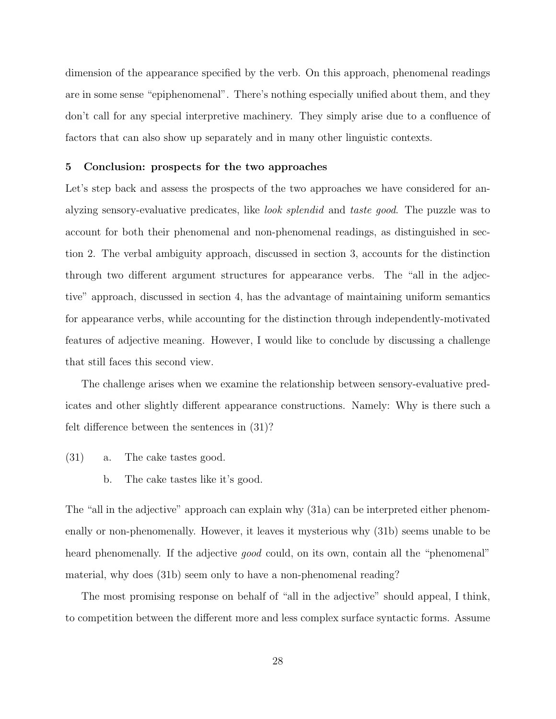dimension of the appearance specified by the verb. On this approach, phenomenal readings are in some sense "epiphenomenal". There's nothing especially unified about them, and they don't call for any special interpretive machinery. They simply arise due to a confluence of factors that can also show up separately and in many other linguistic contexts.

#### <span id="page-27-0"></span>5 Conclusion: prospects for the two approaches

Let's step back and assess the prospects of the two approaches we have considered for analyzing sensory-evaluative predicates, like look splendid and taste good. The puzzle was to account for both their phenomenal and non-phenomenal readings, as distinguished in section [2.](#page-3-0) The verbal ambiguity approach, discussed in section [3,](#page-6-0) accounts for the distinction through two different argument structures for appearance verbs. The "all in the adjective" approach, discussed in section [4,](#page-17-0) has the advantage of maintaining uniform semantics for appearance verbs, while accounting for the distinction through independently-motivated features of adjective meaning. However, I would like to conclude by discussing a challenge that still faces this second view.

The challenge arises when we examine the relationship between sensory-evaluative predicates and other slightly different appearance constructions. Namely: Why is there such a felt difference between the sentences in (31)?

- (31) a. The cake tastes good.
	- b. The cake tastes like it's good.

The "all in the adjective" approach can explain why (31a) can be interpreted either phenomenally or non-phenomenally. However, it leaves it mysterious why (31b) seems unable to be heard phenomenally. If the adjective *good* could, on its own, contain all the "phenomenal" material, why does (31b) seem only to have a non-phenomenal reading?

The most promising response on behalf of "all in the adjective" should appeal, I think, to competition between the different more and less complex surface syntactic forms. Assume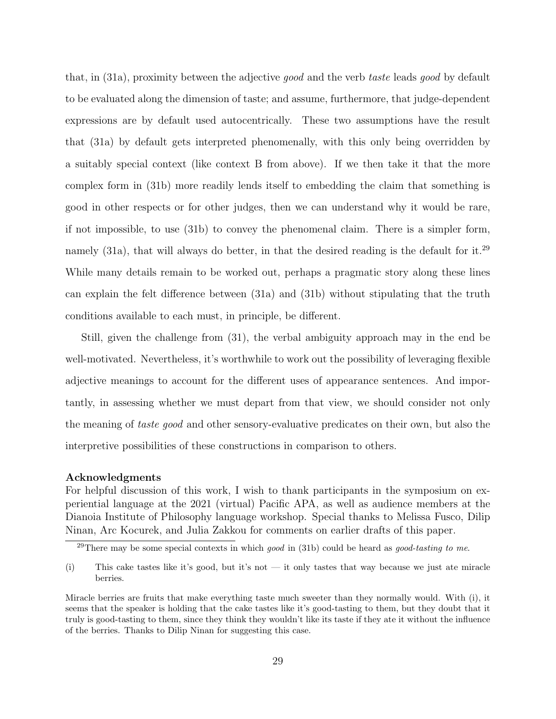that, in (31a), proximity between the adjective good and the verb taste leads good by default to be evaluated along the dimension of taste; and assume, furthermore, that judge-dependent expressions are by default used autocentrically. These two assumptions have the result that (31a) by default gets interpreted phenomenally, with this only being overridden by a suitably special context (like context B from above). If we then take it that the more complex form in (31b) more readily lends itself to embedding the claim that something is good in other respects or for other judges, then we can understand why it would be rare, if not impossible, to use (31b) to convey the phenomenal claim. There is a simpler form, namely  $(31a)$ , that will always do better, in that the desired reading is the default for it.<sup>[29](#page-28-0)</sup> While many details remain to be worked out, perhaps a pragmatic story along these lines can explain the felt difference between (31a) and (31b) without stipulating that the truth conditions available to each must, in principle, be different.

Still, given the challenge from (31), the verbal ambiguity approach may in the end be well-motivated. Nevertheless, it's worthwhile to work out the possibility of leveraging flexible adjective meanings to account for the different uses of appearance sentences. And importantly, in assessing whether we must depart from that view, we should consider not only the meaning of taste good and other sensory-evaluative predicates on their own, but also the interpretive possibilities of these constructions in comparison to others.

## Acknowledgments

For helpful discussion of this work, I wish to thank participants in the symposium on experiential language at the 2021 (virtual) Pacific APA, as well as audience members at the Dianoia Institute of Philosophy language workshop. Special thanks to Melissa Fusco, Dilip Ninan, Arc Kocurek, and Julia Zakkou for comments on earlier drafts of this paper.

<span id="page-28-0"></span> $^{29}$ There may be some special contexts in which good in (31b) could be heard as good-tasting to me.

<sup>(</sup>i) This cake tastes like it's good, but it's not — it only tastes that way because we just ate miracle berries.

Miracle berries are fruits that make everything taste much sweeter than they normally would. With (i), it seems that the speaker is holding that the cake tastes like it's good-tasting to them, but they doubt that it truly is good-tasting to them, since they think they wouldn't like its taste if they ate it without the influence of the berries. Thanks to Dilip Ninan for suggesting this case.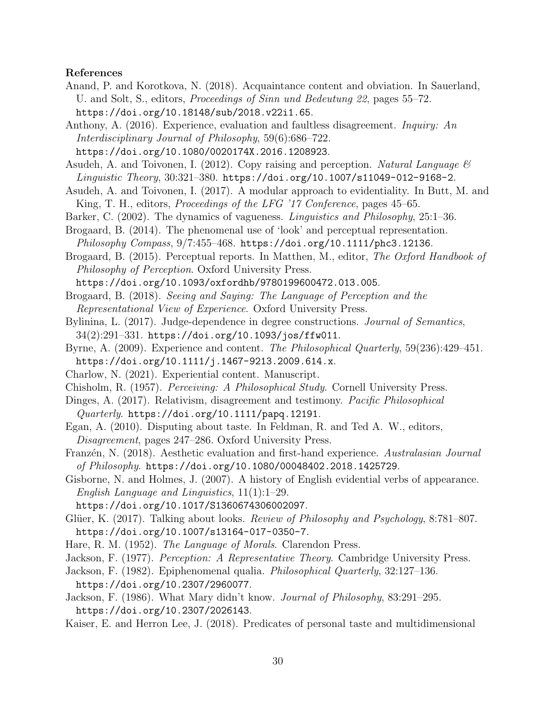#### <span id="page-29-2"></span>References

Anand, P. and Korotkova, N. (2018). Acquaintance content and obviation. In Sauerland, U. and Solt, S., editors, Proceedings of Sinn und Bedeutung 22, pages 55–72. <https://doi.org/10.18148/sub/2018.v22i1.65>.

<span id="page-29-1"></span>Anthony, A. (2016). Experience, evaluation and faultless disagreement. Inquiry: An Interdisciplinary Journal of Philosophy, 59(6):686–722.

<https://doi.org/10.1080/0020174X.2016.1208923>.

<span id="page-29-17"></span>Asudeh, A. and Toivonen, I. (2012). Copy raising and perception. Natural Language  $\mathcal{B}$ Linguistic Theory, 30:321–380. <https://doi.org/10.1007/s11049-012-9168-2>.

- <span id="page-29-18"></span>Asudeh, A. and Toivonen, I. (2017). A modular approach to evidentiality. In Butt, M. and King, T. H., editors, *Proceedings of the LFG '17 Conference*, pages 45–65.
- <span id="page-29-10"></span>Barker, C. (2002). The dynamics of vagueness. Linguistics and Philosophy, 25:1–36.
- <span id="page-29-7"></span>Brogaard, B. (2014). The phenomenal use of 'look' and perceptual representation. Philosophy Compass, 9/7:455–468. <https://doi.org/10.1111/phc3.12136>.
- <span id="page-29-8"></span>Brogaard, B. (2015). Perceptual reports. In Matthen, M., editor, The Oxford Handbook of Philosophy of Perception. Oxford University Press.

<https://doi.org/10.1093/oxfordhb/9780199600472.013.005>.

- <span id="page-29-13"></span>Brogaard, B. (2018). Seeing and Saying: The Language of Perception and the Representational View of Experience. Oxford University Press.
- <span id="page-29-20"></span>Bylinina, L. (2017). Judge-dependence in degree constructions. Journal of Semantics,  $34(2):291-331.$  <https://doi.org/10.1093/jos/ffw011>.
- <span id="page-29-12"></span>Byrne, A. (2009). Experience and content. The Philosophical Quarterly, 59(236):429–451. <https://doi.org/10.1111/j.1467-9213.2009.614.x>.
- <span id="page-29-11"></span>Charlow, N. (2021). Experiential content. Manuscript.
- <span id="page-29-5"></span>Chisholm, R. (1957). Perceiving: A Philosophical Study. Cornell University Press.
- <span id="page-29-4"></span>Dinges, A. (2017). Relativism, disagreement and testimony. Pacific Philosophical
- $Quarterly.$  <https://doi.org/10.1111/papq.12191>.
- <span id="page-29-0"></span>Egan, A. (2010). Disputing about taste. In Feldman, R. and Ted A. W., editors, Disagreement, pages 247–286. Oxford University Press.
- <span id="page-29-3"></span>Franzén, N. (2018). Aesthetic evaluation and first-hand experience. Australasian Journal of Philosophy. <https://doi.org/10.1080/00048402.2018.1425729>.
- <span id="page-29-16"></span>Gisborne, N. and Holmes, J. (2007). A history of English evidential verbs of appearance. English Language and Linguistics, 11(1):1–29.

<https://doi.org/10.1017/S1360674306002097>.

- <span id="page-29-9"></span>Glüer, K. (2017). Talking about looks. *Review of Philosophy and Psychology*, 8:781–807. <https://doi.org/10.1007/s13164-017-0350-7>.
- <span id="page-29-19"></span>Hare, R. M. (1952). The Language of Morals. Clarendon Press.
- <span id="page-29-6"></span>Jackson, F. (1977). Perception: A Representative Theory. Cambridge University Press.
- <span id="page-29-14"></span>Jackson, F. (1982). Epiphenomenal qualia. Philosophical Quarterly, 32:127–136. <https://doi.org/10.2307/2960077>.
- <span id="page-29-15"></span>Jackson, F. (1986). What Mary didn't know. Journal of Philosophy, 83:291–295. <https://doi.org/10.2307/2026143>.
- <span id="page-29-21"></span>Kaiser, E. and Herron Lee, J. (2018). Predicates of personal taste and multidimensional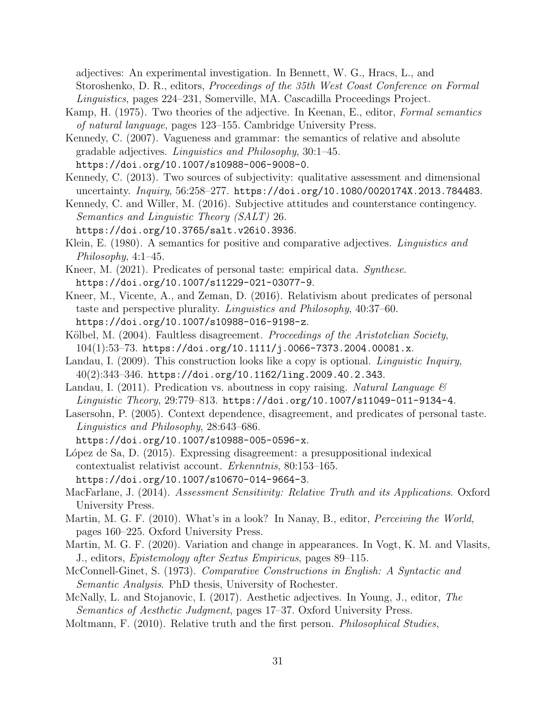adjectives: An experimental investigation. In Bennett, W. G., Hracs, L., and Storoshenko, D. R., editors, Proceedings of the 35th West Coast Conference on Formal Linguistics, pages 224–231, Somerville, MA. Cascadilla Proceedings Project.

- <span id="page-30-15"></span>Kamp, H. (1975). Two theories of the adjective. In Keenan, E., editor, Formal semantics of natural language, pages 123–155. Cambridge University Press.
- <span id="page-30-6"></span>Kennedy, C. (2007). Vagueness and grammar: the semantics of relative and absolute gradable adjectives. Linguistics and Philosophy, 30:1–45. <https://doi.org/10.1007/s10988-006-9008-0>.
- <span id="page-30-7"></span>Kennedy, C. (2013). Two sources of subjectivity: qualitative assessment and dimensional uncertainty. *Inquiry*, 56:258-277. <https://doi.org/10.1080/0020174X.2013.784483>.
- <span id="page-30-5"></span>Kennedy, C. and Willer, M. (2016). Subjective attitudes and counterstance contingency. Semantics and Linguistic Theory (SALT) 26.
	- <https://doi.org/10.3765/salt.v26i0.3936>.
- <span id="page-30-13"></span>Klein, E. (1980). A semantics for positive and comparative adjectives. Linguistics and Philosophy, 4:1–45.
- <span id="page-30-4"></span>Kneer, M. (2021). Predicates of personal taste: empirical data. Synthese. <https://doi.org/10.1007/s11229-021-03077-9>.
- <span id="page-30-17"></span>Kneer, M., Vicente, A., and Zeman, D. (2016). Relativism about predicates of personal taste and perspective plurality. Linguistics and Philosophy, 40:37–60. <https://doi.org/10.1007/s10988-016-9198-z>.
- <span id="page-30-0"></span>Kölbel, M. (2004). Faultless disagreement. *Proceedings of the Aristotelian Society*, 104(1):53–73. <https://doi.org/10.1111/j.0066-7373.2004.00081.x>.
- <span id="page-30-12"></span>Landau, I. (2009). This construction looks like a copy is optional. *Linguistic Inquiry*, 40(2):343–346. <https://doi.org/10.1162/ling.2009.40.2.343>.
- <span id="page-30-11"></span>Landau, I. (2011). Predication vs. aboutness in copy raising. Natural Language  $\mathscr B$ Linguistic Theory, 29:779–813. <https://doi.org/10.1007/s11049-011-9134-4>.
- <span id="page-30-1"></span>Lasersohn, P. (2005). Context dependence, disagreement, and predicates of personal taste. Linguistics and Philosophy, 28:643–686.
	- <https://doi.org/10.1007/s10988-005-0596-x>.
- <span id="page-30-3"></span>López de Sa, D. (2015). Expressing disagreement: a presuppositional indexical contextualist relativist account. Erkenntnis, 80:153–165. <https://doi.org/10.1007/s10670-014-9664-3>.
- <span id="page-30-2"></span>MacFarlane, J. (2014). Assessment Sensitivity: Relative Truth and its Applications. Oxford University Press.
- <span id="page-30-9"></span>Martin, M. G. F. (2010). What's in a look? In Nanay, B., editor, *Perceiving the World*, pages 160–225. Oxford University Press.
- <span id="page-30-10"></span>Martin, M. G. F. (2020). Variation and change in appearances. In Vogt, K. M. and Vlasits, J., editors, Epistemology after Sextus Empiricus, pages 89–115.
- <span id="page-30-14"></span>McConnell-Ginet, S. (1973). Comparative Constructions in English: A Syntactic and Semantic Analysis. PhD thesis, University of Rochester.
- <span id="page-30-16"></span>McNally, L. and Stojanovic, I. (2017). Aesthetic adjectives. In Young, J., editor, The Semantics of Aesthetic Judgment, pages 17–37. Oxford University Press.
- <span id="page-30-8"></span>Moltmann, F. (2010). Relative truth and the first person. Philosophical Studies,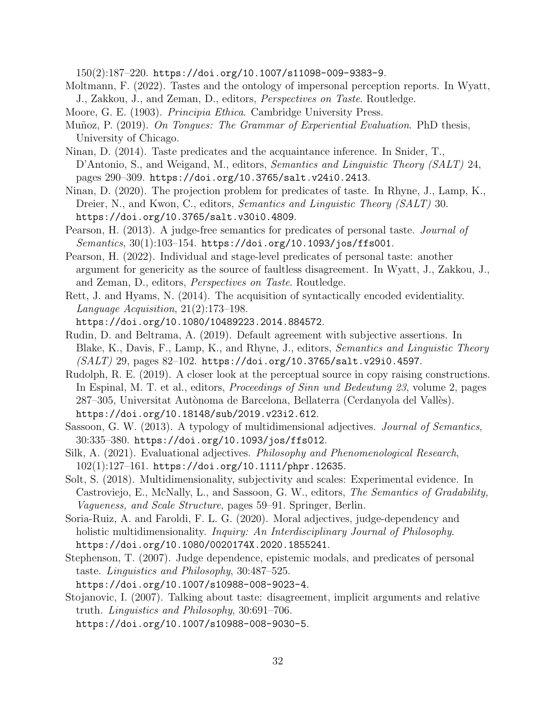150(2):187–220. <https://doi.org/10.1007/s11098-009-9383-9>.

- <span id="page-31-11"></span>Moltmann, F. (2022). Tastes and the ontology of impersonal perception reports. In Wyatt, J., Zakkou, J., and Zeman, D., editors, Perspectives on Taste. Routledge.
- <span id="page-31-12"></span>Moore, G. E. (1903). Principia Ethica. Cambridge University Press.
- <span id="page-31-6"></span>Muñoz, P. (2019). On Tongues: The Grammar of Experiential Evaluation. PhD thesis, University of Chicago.
- <span id="page-31-2"></span>Ninan, D. (2014). Taste predicates and the acquaintance inference. In Snider, T., D'Antonio, S., and Weigand, M., editors, *Semantics and Linguistic Theory (SALT)* 24, pages 290–309. <https://doi.org/10.3765/salt.v24i0.2413>.
- <span id="page-31-3"></span>Ninan, D. (2020). The projection problem for predicates of taste. In Rhyne, J., Lamp, K., Dreier, N., and Kwon, C., editors, *Semantics and Linguistic Theory (SALT)* 30. [https://doi.org/10.3765/salt.v30i0.4809]( https://doi.org/10.3765/salt.v30i0.4809).
- <span id="page-31-4"></span>Pearson, H. (2013). A judge-free semantics for predicates of personal taste. *Journal of* Semantics, 30(1):103–154. <https://doi.org/10.1093/jos/ffs001>.
- <span id="page-31-8"></span>Pearson, H. (2022). Individual and stage-level predicates of personal taste: another argument for genericity as the source of faultless disagreement. In Wyatt, J., Zakkou, J., and Zeman, D., editors, Perspectives on Taste. Routledge.
- <span id="page-31-9"></span>Rett, J. and Hyams, N. (2014). The acquisition of syntactically encoded evidentiality. Language Acquisition, 21(2):173–198.
	- <https://doi.org/10.1080/10489223.2014.884572>.
- <span id="page-31-5"></span>Rudin, D. and Beltrama, A. (2019). Default agreement with subjective assertions. In Blake, K., Davis, F., Lamp, K., and Rhyne, J., editors, Semantics and Linguistic Theory (SALT) 29, pages 82–102. <https://doi.org/10.3765/salt.v29i0.4597>.
- <span id="page-31-10"></span>Rudolph, R. E. (2019). A closer look at the perceptual source in copy raising constructions. In Espinal, M. T. et al., editors, Proceedings of Sinn und Bedeutung 23, volume 2, pages 287–305, Universitat Autònoma de Barcelona, Bellaterra (Cerdanyola del Vallès). <https://doi.org/10.18148/sub/2019.v23i2.612>.
- <span id="page-31-7"></span>Sassoon, G. W. (2013). A typology of multidimensional adjectives. Journal of Semantics, 30:335–380. <https://doi.org/10.1093/jos/ffs012>.
- <span id="page-31-13"></span>Silk, A. (2021). Evaluational adjectives. Philosophy and Phenomenological Research, 102(1):127–161. <https://doi.org/10.1111/phpr.12635>.
- <span id="page-31-14"></span>Solt, S. (2018). Multidimensionality, subjectivity and scales: Experimental evidence. In Castroviejo, E., McNally, L., and Sassoon, G. W., editors, The Semantics of Gradability, Vagueness, and Scale Structure, pages 59–91. Springer, Berlin.
- <span id="page-31-15"></span>Soria-Ruiz, A. and Faroldi, F. L. G. (2020). Moral adjectives, judge-dependency and holistic multidimensionality. *Inquiry: An Interdisciplinary Journal of Philosophy*. <https://doi.org/10.1080/0020174X.2020.1855241>.
- <span id="page-31-0"></span>Stephenson, T. (2007). Judge dependence, epistemic modals, and predicates of personal taste. Linguistics and Philosophy, 30:487–525.
- <https://doi.org/10.1007/s10988-008-9023-4>.
- <span id="page-31-1"></span>Stojanovic, I. (2007). Talking about taste: disagreement, implicit arguments and relative truth. Linguistics and Philosophy, 30:691–706. <https://doi.org/10.1007/s10988-008-9030-5>.